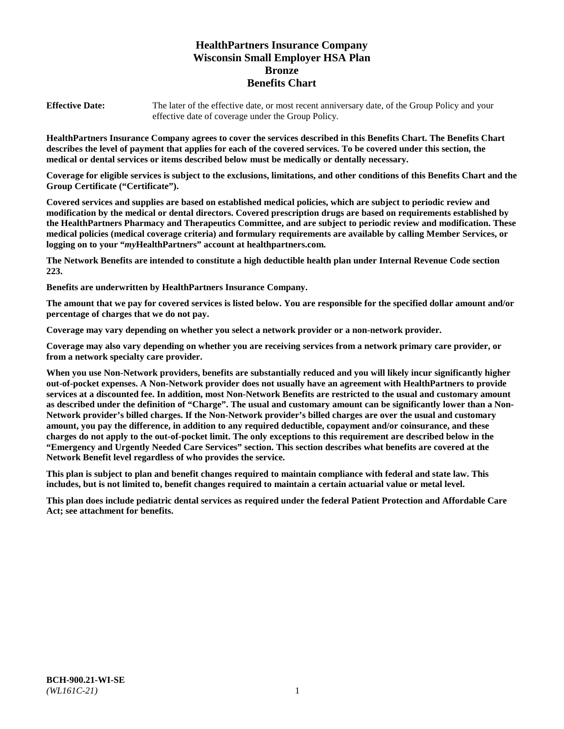# **HealthPartners Insurance Company Wisconsin Small Employer HSA Plan Bronze Benefits Chart**

**Effective Date:** The later of the effective date, or most recent anniversary date, of the Group Policy and your effective date of coverage under the Group Policy.

**HealthPartners Insurance Company agrees to cover the services described in this Benefits Chart. The Benefits Chart describes the level of payment that applies for each of the covered services. To be covered under this section, the medical or dental services or items described below must be medically or dentally necessary.**

**Coverage for eligible services is subject to the exclusions, limitations, and other conditions of this Benefits Chart and the Group Certificate ("Certificate").**

**Covered services and supplies are based on established medical policies, which are subject to periodic review and modification by the medical or dental directors. Covered prescription drugs are based on requirements established by the HealthPartners Pharmacy and Therapeutics Committee, and are subject to periodic review and modification. These medical policies (medical coverage criteria) and formulary requirements are available by calling Member Services, or logging on to your "***my***HealthPartners" account at [healthpartners.com.](https://www.healthpartners.com/hp/index.html)**

**The Network Benefits are intended to constitute a high deductible health plan under Internal Revenue Code section 223.**

**Benefits are underwritten by HealthPartners Insurance Company.**

**The amount that we pay for covered services is listed below. You are responsible for the specified dollar amount and/or percentage of charges that we do not pay.**

**Coverage may vary depending on whether you select a network provider or a non-network provider.**

**Coverage may also vary depending on whether you are receiving services from a network primary care provider, or from a network specialty care provider.**

**When you use Non-Network providers, benefits are substantially reduced and you will likely incur significantly higher out-of-pocket expenses. A Non-Network provider does not usually have an agreement with HealthPartners to provide services at a discounted fee. In addition, most Non-Network Benefits are restricted to the usual and customary amount as described under the definition of "Charge". The usual and customary amount can be significantly lower than a Non-Network provider's billed charges. If the Non-Network provider's billed charges are over the usual and customary amount, you pay the difference, in addition to any required deductible, copayment and/or coinsurance, and these charges do not apply to the out-of-pocket limit. The only exceptions to this requirement are described below in the "Emergency and Urgently Needed Care Services" section. This section describes what benefits are covered at the Network Benefit level regardless of who provides the service.**

**This plan is subject to plan and benefit changes required to maintain compliance with federal and state law. This includes, but is not limited to, benefit changes required to maintain a certain actuarial value or metal level.**

**This plan does include pediatric dental services as required under the federal Patient Protection and Affordable Care Act; see attachment for benefits.**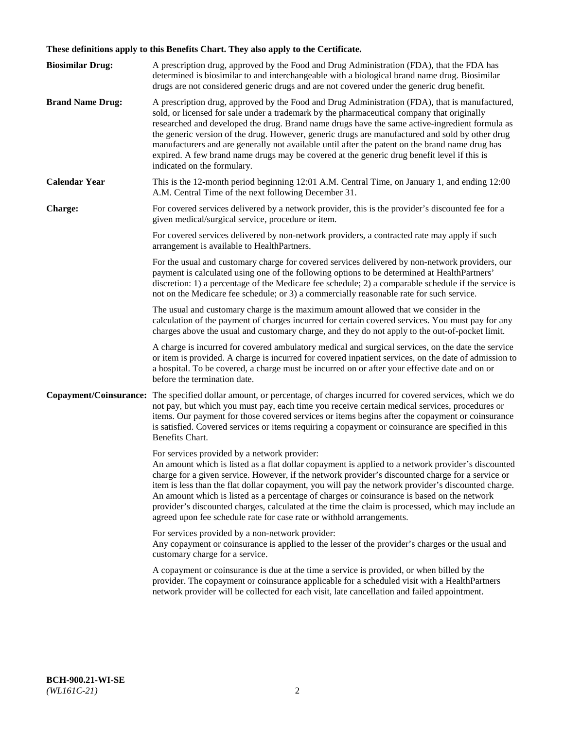# **These definitions apply to this Benefits Chart. They also apply to the Certificate.**

| <b>Biosimilar Drug:</b> | A prescription drug, approved by the Food and Drug Administration (FDA), that the FDA has<br>determined is biosimilar to and interchangeable with a biological brand name drug. Biosimilar<br>drugs are not considered generic drugs and are not covered under the generic drug benefit.                                                                                                                                                                                                                                                                                                                                                     |
|-------------------------|----------------------------------------------------------------------------------------------------------------------------------------------------------------------------------------------------------------------------------------------------------------------------------------------------------------------------------------------------------------------------------------------------------------------------------------------------------------------------------------------------------------------------------------------------------------------------------------------------------------------------------------------|
| <b>Brand Name Drug:</b> | A prescription drug, approved by the Food and Drug Administration (FDA), that is manufactured,<br>sold, or licensed for sale under a trademark by the pharmaceutical company that originally<br>researched and developed the drug. Brand name drugs have the same active-ingredient formula as<br>the generic version of the drug. However, generic drugs are manufactured and sold by other drug<br>manufacturers and are generally not available until after the patent on the brand name drug has<br>expired. A few brand name drugs may be covered at the generic drug benefit level if this is<br>indicated on the formulary.           |
| <b>Calendar Year</b>    | This is the 12-month period beginning 12:01 A.M. Central Time, on January 1, and ending 12:00<br>A.M. Central Time of the next following December 31.                                                                                                                                                                                                                                                                                                                                                                                                                                                                                        |
| <b>Charge:</b>          | For covered services delivered by a network provider, this is the provider's discounted fee for a<br>given medical/surgical service, procedure or item.                                                                                                                                                                                                                                                                                                                                                                                                                                                                                      |
|                         | For covered services delivered by non-network providers, a contracted rate may apply if such<br>arrangement is available to HealthPartners.                                                                                                                                                                                                                                                                                                                                                                                                                                                                                                  |
|                         | For the usual and customary charge for covered services delivered by non-network providers, our<br>payment is calculated using one of the following options to be determined at HealthPartners'<br>discretion: 1) a percentage of the Medicare fee schedule; 2) a comparable schedule if the service is<br>not on the Medicare fee schedule; or 3) a commercially reasonable rate for such service.                                                                                                                                                                                                                                          |
|                         | The usual and customary charge is the maximum amount allowed that we consider in the<br>calculation of the payment of charges incurred for certain covered services. You must pay for any<br>charges above the usual and customary charge, and they do not apply to the out-of-pocket limit.                                                                                                                                                                                                                                                                                                                                                 |
|                         | A charge is incurred for covered ambulatory medical and surgical services, on the date the service<br>or item is provided. A charge is incurred for covered inpatient services, on the date of admission to<br>a hospital. To be covered, a charge must be incurred on or after your effective date and on or<br>before the termination date.                                                                                                                                                                                                                                                                                                |
| Copayment/Coinsurance:  | The specified dollar amount, or percentage, of charges incurred for covered services, which we do<br>not pay, but which you must pay, each time you receive certain medical services, procedures or<br>items. Our payment for those covered services or items begins after the copayment or coinsurance<br>is satisfied. Covered services or items requiring a copayment or coinsurance are specified in this<br>Benefits Chart.                                                                                                                                                                                                             |
|                         | For services provided by a network provider:<br>An amount which is listed as a flat dollar copayment is applied to a network provider's discounted<br>charge for a given service. However, if the network provider's discounted charge for a service or<br>item is less than the flat dollar copayment, you will pay the network provider's discounted charge.<br>An amount which is listed as a percentage of charges or coinsurance is based on the network<br>provider's discounted charges, calculated at the time the claim is processed, which may include an<br>agreed upon fee schedule rate for case rate or withhold arrangements. |
|                         | For services provided by a non-network provider:<br>Any copayment or coinsurance is applied to the lesser of the provider's charges or the usual and<br>customary charge for a service.                                                                                                                                                                                                                                                                                                                                                                                                                                                      |
|                         | A copayment or coinsurance is due at the time a service is provided, or when billed by the<br>provider. The copayment or coinsurance applicable for a scheduled visit with a HealthPartners<br>network provider will be collected for each visit, late cancellation and failed appointment.                                                                                                                                                                                                                                                                                                                                                  |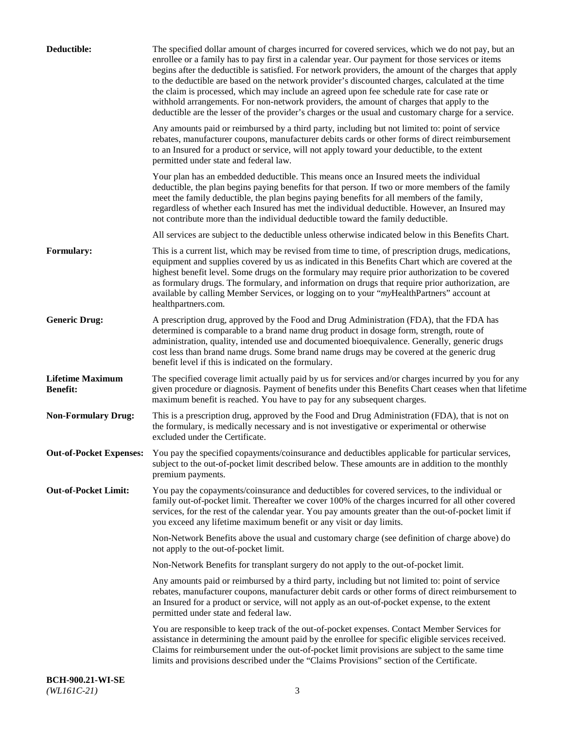| Deductible:                                | The specified dollar amount of charges incurred for covered services, which we do not pay, but an<br>enrollee or a family has to pay first in a calendar year. Our payment for those services or items<br>begins after the deductible is satisfied. For network providers, the amount of the charges that apply<br>to the deductible are based on the network provider's discounted charges, calculated at the time<br>the claim is processed, which may include an agreed upon fee schedule rate for case rate or<br>withhold arrangements. For non-network providers, the amount of charges that apply to the<br>deductible are the lesser of the provider's charges or the usual and customary charge for a service. |
|--------------------------------------------|-------------------------------------------------------------------------------------------------------------------------------------------------------------------------------------------------------------------------------------------------------------------------------------------------------------------------------------------------------------------------------------------------------------------------------------------------------------------------------------------------------------------------------------------------------------------------------------------------------------------------------------------------------------------------------------------------------------------------|
|                                            | Any amounts paid or reimbursed by a third party, including but not limited to: point of service<br>rebates, manufacturer coupons, manufacturer debits cards or other forms of direct reimbursement<br>to an Insured for a product or service, will not apply toward your deductible, to the extent<br>permitted under state and federal law.                                                                                                                                                                                                                                                                                                                                                                            |
|                                            | Your plan has an embedded deductible. This means once an Insured meets the individual<br>deductible, the plan begins paying benefits for that person. If two or more members of the family<br>meet the family deductible, the plan begins paying benefits for all members of the family,<br>regardless of whether each Insured has met the individual deductible. However, an Insured may<br>not contribute more than the individual deductible toward the family deductible.                                                                                                                                                                                                                                           |
|                                            | All services are subject to the deductible unless otherwise indicated below in this Benefits Chart.                                                                                                                                                                                                                                                                                                                                                                                                                                                                                                                                                                                                                     |
| <b>Formulary:</b>                          | This is a current list, which may be revised from time to time, of prescription drugs, medications,<br>equipment and supplies covered by us as indicated in this Benefits Chart which are covered at the<br>highest benefit level. Some drugs on the formulary may require prior authorization to be covered<br>as formulary drugs. The formulary, and information on drugs that require prior authorization, are<br>available by calling Member Services, or logging on to your "myHealthPartners" account at<br>healthpartners.com.                                                                                                                                                                                   |
| <b>Generic Drug:</b>                       | A prescription drug, approved by the Food and Drug Administration (FDA), that the FDA has<br>determined is comparable to a brand name drug product in dosage form, strength, route of<br>administration, quality, intended use and documented bioequivalence. Generally, generic drugs<br>cost less than brand name drugs. Some brand name drugs may be covered at the generic drug<br>benefit level if this is indicated on the formulary.                                                                                                                                                                                                                                                                             |
| <b>Lifetime Maximum</b><br><b>Benefit:</b> | The specified coverage limit actually paid by us for services and/or charges incurred by you for any<br>given procedure or diagnosis. Payment of benefits under this Benefits Chart ceases when that lifetime<br>maximum benefit is reached. You have to pay for any subsequent charges.                                                                                                                                                                                                                                                                                                                                                                                                                                |
| <b>Non-Formulary Drug:</b>                 | This is a prescription drug, approved by the Food and Drug Administration (FDA), that is not on<br>the formulary, is medically necessary and is not investigative or experimental or otherwise<br>excluded under the Certificate.                                                                                                                                                                                                                                                                                                                                                                                                                                                                                       |
|                                            | Out-of-Pocket Expenses: You pay the specified copayments/coinsurance and deductibles applicable for particular services,<br>subject to the out-of-pocket limit described below. These amounts are in addition to the monthly<br>premium payments.                                                                                                                                                                                                                                                                                                                                                                                                                                                                       |
| <b>Out-of-Pocket Limit:</b>                | You pay the copayments/coinsurance and deductibles for covered services, to the individual or<br>family out-of-pocket limit. Thereafter we cover 100% of the charges incurred for all other covered<br>services, for the rest of the calendar year. You pay amounts greater than the out-of-pocket limit if<br>you exceed any lifetime maximum benefit or any visit or day limits.                                                                                                                                                                                                                                                                                                                                      |
|                                            | Non-Network Benefits above the usual and customary charge (see definition of charge above) do<br>not apply to the out-of-pocket limit.                                                                                                                                                                                                                                                                                                                                                                                                                                                                                                                                                                                  |
|                                            | Non-Network Benefits for transplant surgery do not apply to the out-of-pocket limit.                                                                                                                                                                                                                                                                                                                                                                                                                                                                                                                                                                                                                                    |
|                                            | Any amounts paid or reimbursed by a third party, including but not limited to: point of service<br>rebates, manufacturer coupons, manufacturer debit cards or other forms of direct reimbursement to<br>an Insured for a product or service, will not apply as an out-of-pocket expense, to the extent<br>permitted under state and federal law.                                                                                                                                                                                                                                                                                                                                                                        |
|                                            | You are responsible to keep track of the out-of-pocket expenses. Contact Member Services for<br>assistance in determining the amount paid by the enrollee for specific eligible services received.<br>Claims for reimbursement under the out-of-pocket limit provisions are subject to the same time<br>limits and provisions described under the "Claims Provisions" section of the Certificate.                                                                                                                                                                                                                                                                                                                       |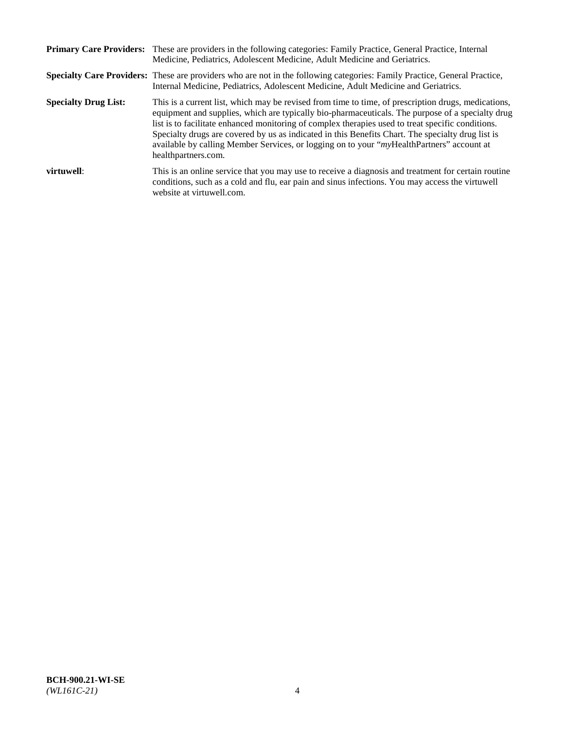|                             | Primary Care Providers: These are providers in the following categories: Family Practice, General Practice, Internal<br>Medicine, Pediatrics, Adolescent Medicine, Adult Medicine and Geriatrics.                                                                                                                                                                                                                                                                                                                                     |
|-----------------------------|---------------------------------------------------------------------------------------------------------------------------------------------------------------------------------------------------------------------------------------------------------------------------------------------------------------------------------------------------------------------------------------------------------------------------------------------------------------------------------------------------------------------------------------|
|                             | <b>Specialty Care Providers:</b> These are providers who are not in the following categories: Family Practice, General Practice,<br>Internal Medicine, Pediatrics, Adolescent Medicine, Adult Medicine and Geriatrics.                                                                                                                                                                                                                                                                                                                |
| <b>Specialty Drug List:</b> | This is a current list, which may be revised from time to time, of prescription drugs, medications,<br>equipment and supplies, which are typically bio-pharmaceuticals. The purpose of a specialty drug<br>list is to facilitate enhanced monitoring of complex therapies used to treat specific conditions.<br>Specialty drugs are covered by us as indicated in this Benefits Chart. The specialty drug list is<br>available by calling Member Services, or logging on to your "myHealthPartners" account at<br>healthpartners.com. |
| virtuwell:                  | This is an online service that you may use to receive a diagnosis and treatment for certain routine<br>conditions, such as a cold and flu, ear pain and sinus infections. You may access the virtuwell<br>website at virtuwell.com.                                                                                                                                                                                                                                                                                                   |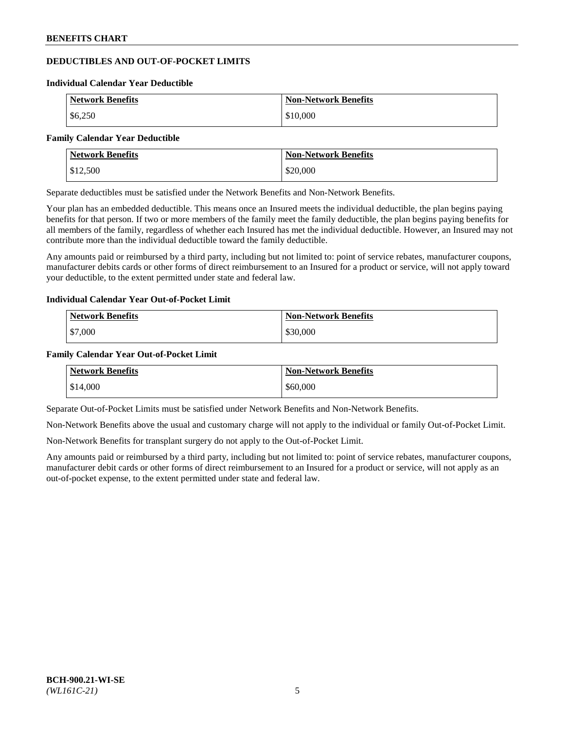# **DEDUCTIBLES AND OUT-OF-POCKET LIMITS**

#### **Individual Calendar Year Deductible**

| <b>Network Benefits</b> | <b>Non-Network Benefits</b> |
|-------------------------|-----------------------------|
| \$6,250                 | \$10,000                    |

#### **Family Calendar Year Deductible**

| <b>Network Benefits</b> | <b>Non-Network Benefits</b> |
|-------------------------|-----------------------------|
| \$12,500                | \$20,000                    |

Separate deductibles must be satisfied under the Network Benefits and Non-Network Benefits.

Your plan has an embedded deductible. This means once an Insured meets the individual deductible, the plan begins paying benefits for that person. If two or more members of the family meet the family deductible, the plan begins paying benefits for all members of the family, regardless of whether each Insured has met the individual deductible. However, an Insured may not contribute more than the individual deductible toward the family deductible.

Any amounts paid or reimbursed by a third party, including but not limited to: point of service rebates, manufacturer coupons, manufacturer debits cards or other forms of direct reimbursement to an Insured for a product or service, will not apply toward your deductible, to the extent permitted under state and federal law.

#### **Individual Calendar Year Out-of-Pocket Limit**

| <b>Network Benefits</b> | <b>Non-Network Benefits</b> |
|-------------------------|-----------------------------|
| \$7,000                 | \$30,000                    |

#### **Family Calendar Year Out-of-Pocket Limit**

| <b>Network Benefits</b> | Non-Network Benefits |
|-------------------------|----------------------|
| \$14,000                | \$60,000             |

Separate Out-of-Pocket Limits must be satisfied under Network Benefits and Non-Network Benefits.

Non-Network Benefits above the usual and customary charge will not apply to the individual or family Out-of-Pocket Limit.

Non-Network Benefits for transplant surgery do not apply to the Out-of-Pocket Limit.

Any amounts paid or reimbursed by a third party, including but not limited to: point of service rebates, manufacturer coupons, manufacturer debit cards or other forms of direct reimbursement to an Insured for a product or service, will not apply as an out-of-pocket expense, to the extent permitted under state and federal law.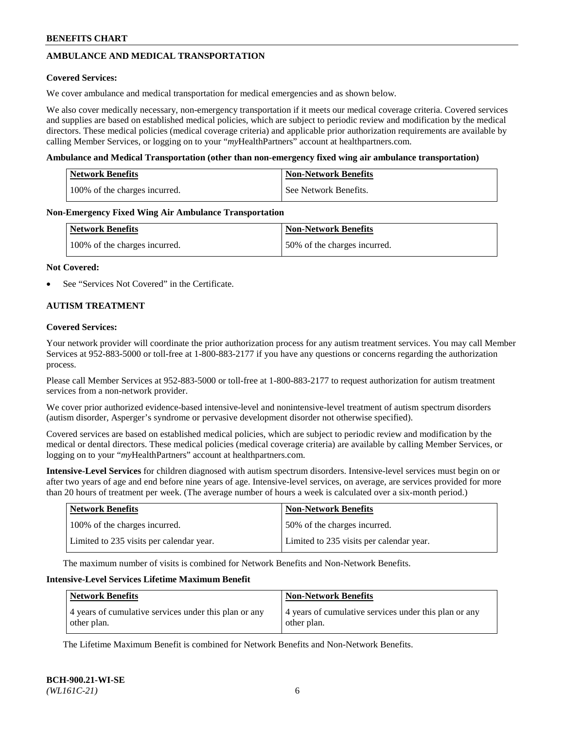# **AMBULANCE AND MEDICAL TRANSPORTATION**

#### **Covered Services:**

We cover ambulance and medical transportation for medical emergencies and as shown below.

We also cover medically necessary, non-emergency transportation if it meets our medical coverage criteria. Covered services and supplies are based on established medical policies, which are subject to periodic review and modification by the medical directors. These medical policies (medical coverage criteria) and applicable prior authorization requirements are available by calling Member Services, or logging on to your "*my*HealthPartners" account a[t healthpartners.com.](https://www.healthpartners.com/hp/index.html)

#### **Ambulance and Medical Transportation (other than non-emergency fixed wing air ambulance transportation)**

| <b>Network Benefits</b>       | <b>Non-Network Benefits</b> |
|-------------------------------|-----------------------------|
| 100% of the charges incurred. | See Network Benefits.       |

#### **Non-Emergency Fixed Wing Air Ambulance Transportation**

| <b>Network Benefits</b>       | <b>Non-Network Benefits</b>  |
|-------------------------------|------------------------------|
| 100% of the charges incurred. | 50% of the charges incurred. |

#### **Not Covered:**

See "Services Not Covered" in the Certificate.

# **AUTISM TREATMENT**

#### **Covered Services:**

Your network provider will coordinate the prior authorization process for any autism treatment services. You may call Member Services at 952-883-5000 or toll-free at 1-800-883-2177 if you have any questions or concerns regarding the authorization process.

Please call Member Services at 952-883-5000 or toll-free at 1-800-883-2177 to request authorization for autism treatment services from a non-network provider.

We cover prior authorized evidence-based intensive-level and nonintensive-level treatment of autism spectrum disorders (autism disorder, Asperger's syndrome or pervasive development disorder not otherwise specified).

Covered services are based on established medical policies, which are subject to periodic review and modification by the medical or dental directors. These medical policies (medical coverage criteria) are available by calling Member Services, or logging on to your "*my*HealthPartners" account at [healthpartners.com.](https://www.healthpartners.com/hp/index.html)

**Intensive-Level Services** for children diagnosed with autism spectrum disorders. Intensive-level services must begin on or after two years of age and end before nine years of age. Intensive-level services, on average, are services provided for more than 20 hours of treatment per week. (The average number of hours a week is calculated over a six-month period.)

| <b>Network Benefits</b>                  | <b>Non-Network Benefits</b>              |
|------------------------------------------|------------------------------------------|
| 100% of the charges incurred.            | 50% of the charges incurred.             |
| Limited to 235 visits per calendar year. | Limited to 235 visits per calendar year. |

The maximum number of visits is combined for Network Benefits and Non-Network Benefits.

#### **Intensive-Level Services Lifetime Maximum Benefit**

| <b>Network Benefits</b>                                              | <b>Non-Network Benefits</b>                                          |
|----------------------------------------------------------------------|----------------------------------------------------------------------|
| 4 years of cumulative services under this plan or any<br>other plan. | 4 years of cumulative services under this plan or any<br>other plan. |

The Lifetime Maximum Benefit is combined for Network Benefits and Non-Network Benefits.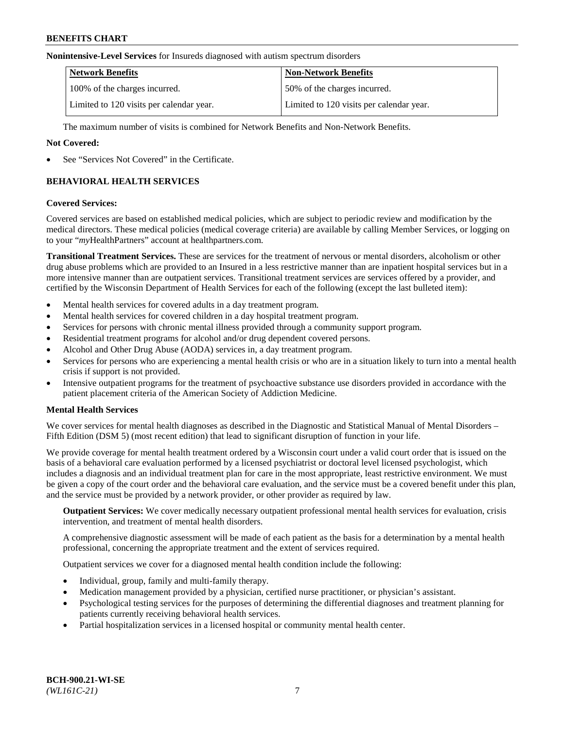#### **Nonintensive-Level Services** for Insureds diagnosed with autism spectrum disorders

| <b>Network Benefits</b>                  | <b>Non-Network Benefits</b>              |
|------------------------------------------|------------------------------------------|
| 100% of the charges incurred.            | 50% of the charges incurred.             |
| Limited to 120 visits per calendar year. | Limited to 120 visits per calendar year. |

The maximum number of visits is combined for Network Benefits and Non-Network Benefits.

### **Not Covered:**

See "Services Not Covered" in the Certificate.

# **BEHAVIORAL HEALTH SERVICES**

#### **Covered Services:**

Covered services are based on established medical policies, which are subject to periodic review and modification by the medical directors. These medical policies (medical coverage criteria) are available by calling Member Services, or logging on to your "*my*HealthPartners" account at [healthpartners.com.](https://www.healthpartners.com/hp/index.html)

**Transitional Treatment Services.** These are services for the treatment of nervous or mental disorders, alcoholism or other drug abuse problems which are provided to an Insured in a less restrictive manner than are inpatient hospital services but in a more intensive manner than are outpatient services. Transitional treatment services are services offered by a provider, and certified by the Wisconsin Department of Health Services for each of the following (except the last bulleted item):

- Mental health services for covered adults in a day treatment program.
- Mental health services for covered children in a day hospital treatment program.
- Services for persons with chronic mental illness provided through a community support program.
- Residential treatment programs for alcohol and/or drug dependent covered persons.
- Alcohol and Other Drug Abuse (AODA) services in, a day treatment program.
- Services for persons who are experiencing a mental health crisis or who are in a situation likely to turn into a mental health crisis if support is not provided.
- Intensive outpatient programs for the treatment of psychoactive substance use disorders provided in accordance with the patient placement criteria of the American Society of Addiction Medicine.

# **Mental Health Services**

We cover services for mental health diagnoses as described in the Diagnostic and Statistical Manual of Mental Disorders – Fifth Edition (DSM 5) (most recent edition) that lead to significant disruption of function in your life.

We provide coverage for mental health treatment ordered by a Wisconsin court under a valid court order that is issued on the basis of a behavioral care evaluation performed by a licensed psychiatrist or doctoral level licensed psychologist, which includes a diagnosis and an individual treatment plan for care in the most appropriate, least restrictive environment. We must be given a copy of the court order and the behavioral care evaluation, and the service must be a covered benefit under this plan, and the service must be provided by a network provider, or other provider as required by law.

**Outpatient Services:** We cover medically necessary outpatient professional mental health services for evaluation, crisis intervention, and treatment of mental health disorders.

A comprehensive diagnostic assessment will be made of each patient as the basis for a determination by a mental health professional, concerning the appropriate treatment and the extent of services required.

Outpatient services we cover for a diagnosed mental health condition include the following:

- Individual, group, family and multi-family therapy.
- Medication management provided by a physician, certified nurse practitioner, or physician's assistant.
- Psychological testing services for the purposes of determining the differential diagnoses and treatment planning for patients currently receiving behavioral health services.
- Partial hospitalization services in a licensed hospital or community mental health center.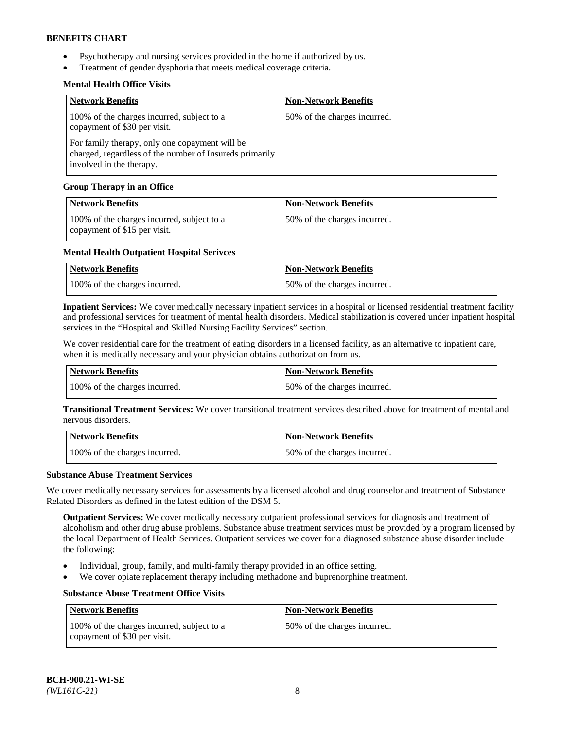- Psychotherapy and nursing services provided in the home if authorized by us.
- Treatment of gender dysphoria that meets medical coverage criteria.

# **Mental Health Office Visits**

| <b>Network Benefits</b>                                                                                                               | <b>Non-Network Benefits</b>  |
|---------------------------------------------------------------------------------------------------------------------------------------|------------------------------|
| 100% of the charges incurred, subject to a<br>copayment of \$30 per visit.                                                            | 50% of the charges incurred. |
| For family therapy, only one copayment will be<br>charged, regardless of the number of Insureds primarily<br>involved in the therapy. |                              |

# **Group Therapy in an Office**

| <b>Network Benefits</b>                                                    | <b>Non-Network Benefits</b>  |
|----------------------------------------------------------------------------|------------------------------|
| 100% of the charges incurred, subject to a<br>copayment of \$15 per visit. | 50% of the charges incurred. |

# **Mental Health Outpatient Hospital Serivces**

| Network Benefits              | <b>Non-Network Benefits</b>  |
|-------------------------------|------------------------------|
| 100% of the charges incurred. | 50% of the charges incurred. |

**Inpatient Services:** We cover medically necessary inpatient services in a hospital or licensed residential treatment facility and professional services for treatment of mental health disorders. Medical stabilization is covered under inpatient hospital services in the "Hospital and Skilled Nursing Facility Services" section.

We cover residential care for the treatment of eating disorders in a licensed facility, as an alternative to inpatient care, when it is medically necessary and your physician obtains authorization from us.

| Network Benefits              | <b>Non-Network Benefits</b>  |
|-------------------------------|------------------------------|
| 100% of the charges incurred. | 50% of the charges incurred. |

**Transitional Treatment Services:** We cover transitional treatment services described above for treatment of mental and nervous disorders.

| Network Benefits              | Non-Network Benefits         |
|-------------------------------|------------------------------|
| 100% of the charges incurred. | 50% of the charges incurred. |

#### **Substance Abuse Treatment Services**

We cover medically necessary services for assessments by a licensed alcohol and drug counselor and treatment of Substance Related Disorders as defined in the latest edition of the DSM 5.

**Outpatient Services:** We cover medically necessary outpatient professional services for diagnosis and treatment of alcoholism and other drug abuse problems. Substance abuse treatment services must be provided by a program licensed by the local Department of Health Services. Outpatient services we cover for a diagnosed substance abuse disorder include the following:

- Individual, group, family, and multi-family therapy provided in an office setting.
- We cover opiate replacement therapy including methadone and buprenorphine treatment.

# **Substance Abuse Treatment Office Visits**

| Network Benefits                                                           | <b>Non-Network Benefits</b>  |
|----------------------------------------------------------------------------|------------------------------|
| 100% of the charges incurred, subject to a<br>copayment of \$30 per visit. | 50% of the charges incurred. |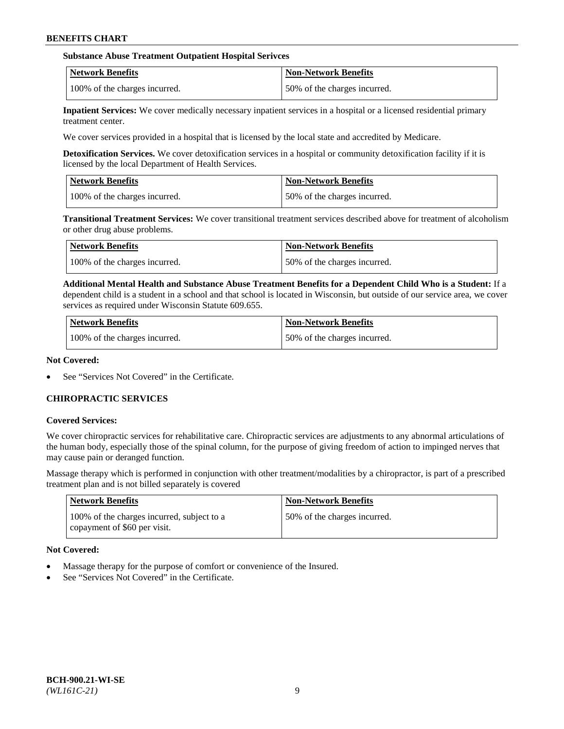### **Substance Abuse Treatment Outpatient Hospital Serivces**

| Network Benefits              | <b>Non-Network Benefits</b>  |
|-------------------------------|------------------------------|
| 100% of the charges incurred. | 50% of the charges incurred. |

**Inpatient Services:** We cover medically necessary inpatient services in a hospital or a licensed residential primary treatment center.

We cover services provided in a hospital that is licensed by the local state and accredited by Medicare.

**Detoxification Services.** We cover detoxification services in a hospital or community detoxification facility if it is licensed by the local Department of Health Services.

| <b>Network Benefits</b>       | <b>Non-Network Benefits</b>  |
|-------------------------------|------------------------------|
| 100% of the charges incurred. | 50% of the charges incurred. |

**Transitional Treatment Services:** We cover transitional treatment services described above for treatment of alcoholism or other drug abuse problems.

| Network Benefits              | <b>Non-Network Benefits</b>  |
|-------------------------------|------------------------------|
| 100% of the charges incurred. | 50% of the charges incurred. |

**Additional Mental Health and Substance Abuse Treatment Benefits for a Dependent Child Who is a Student:** If a dependent child is a student in a school and that school is located in Wisconsin, but outside of our service area, we cover services as required under Wisconsin Statute 609.655.

| <b>Network Benefits</b>       | <b>Non-Network Benefits</b>  |
|-------------------------------|------------------------------|
| 100% of the charges incurred. | 50% of the charges incurred. |

#### **Not Covered:**

See "Services Not Covered" in the Certificate.

# **CHIROPRACTIC SERVICES**

#### **Covered Services:**

We cover chiropractic services for rehabilitative care. Chiropractic services are adjustments to any abnormal articulations of the human body, especially those of the spinal column, for the purpose of giving freedom of action to impinged nerves that may cause pain or deranged function.

Massage therapy which is performed in conjunction with other treatment/modalities by a chiropractor, is part of a prescribed treatment plan and is not billed separately is covered

| <b>Network Benefits</b>                                                    | <b>Non-Network Benefits</b>  |
|----------------------------------------------------------------------------|------------------------------|
| 100% of the charges incurred, subject to a<br>copayment of \$60 per visit. | 50% of the charges incurred. |

# **Not Covered:**

- Massage therapy for the purpose of comfort or convenience of the Insured.
- See "Services Not Covered" in the Certificate.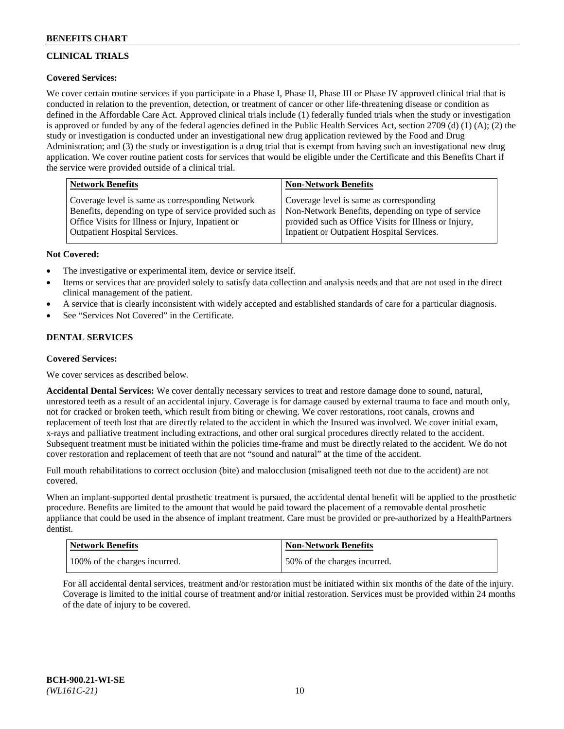# **CLINICAL TRIALS**

# **Covered Services:**

We cover certain routine services if you participate in a Phase I, Phase II, Phase III or Phase IV approved clinical trial that is conducted in relation to the prevention, detection, or treatment of cancer or other life-threatening disease or condition as defined in the Affordable Care Act. Approved clinical trials include (1) federally funded trials when the study or investigation is approved or funded by any of the federal agencies defined in the Public Health Services Act, section 2709 (d) (1) (A); (2) the study or investigation is conducted under an investigational new drug application reviewed by the Food and Drug Administration; and (3) the study or investigation is a drug trial that is exempt from having such an investigational new drug application. We cover routine patient costs for services that would be eligible under the Certificate and this Benefits Chart if the service were provided outside of a clinical trial.

| <b>Network Benefits</b>                                 | <b>Non-Network Benefits</b>                           |
|---------------------------------------------------------|-------------------------------------------------------|
| Coverage level is same as corresponding Network         | Coverage level is same as corresponding               |
| Benefits, depending on type of service provided such as | Non-Network Benefits, depending on type of service    |
| Office Visits for Illness or Injury, Inpatient or       | provided such as Office Visits for Illness or Injury, |
| Outpatient Hospital Services.                           | Inpatient or Outpatient Hospital Services.            |

# **Not Covered:**

- The investigative or experimental item, device or service itself.
- Items or services that are provided solely to satisfy data collection and analysis needs and that are not used in the direct clinical management of the patient.
- A service that is clearly inconsistent with widely accepted and established standards of care for a particular diagnosis.
- See "Services Not Covered" in the Certificate.

# **DENTAL SERVICES**

# **Covered Services:**

We cover services as described below.

**Accidental Dental Services:** We cover dentally necessary services to treat and restore damage done to sound, natural, unrestored teeth as a result of an accidental injury. Coverage is for damage caused by external trauma to face and mouth only, not for cracked or broken teeth, which result from biting or chewing. We cover restorations, root canals, crowns and replacement of teeth lost that are directly related to the accident in which the Insured was involved. We cover initial exam, x-rays and palliative treatment including extractions, and other oral surgical procedures directly related to the accident. Subsequent treatment must be initiated within the policies time-frame and must be directly related to the accident. We do not cover restoration and replacement of teeth that are not "sound and natural" at the time of the accident.

Full mouth rehabilitations to correct occlusion (bite) and malocclusion (misaligned teeth not due to the accident) are not covered.

When an implant-supported dental prosthetic treatment is pursued, the accidental dental benefit will be applied to the prosthetic procedure. Benefits are limited to the amount that would be paid toward the placement of a removable dental prosthetic appliance that could be used in the absence of implant treatment. Care must be provided or pre-authorized by a HealthPartners dentist.

| Network Benefits              | <b>Non-Network Benefits</b>  |
|-------------------------------|------------------------------|
| 100% of the charges incurred. | 50% of the charges incurred. |

For all accidental dental services, treatment and/or restoration must be initiated within six months of the date of the injury. Coverage is limited to the initial course of treatment and/or initial restoration. Services must be provided within 24 months of the date of injury to be covered.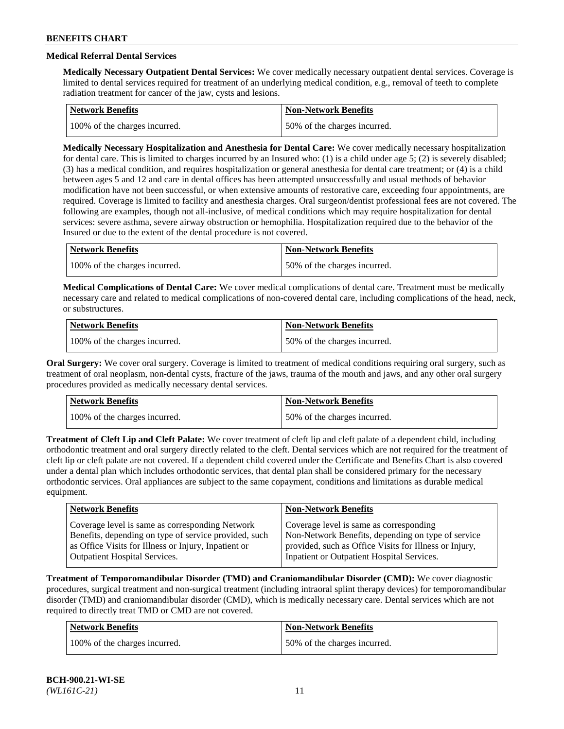# **Medical Referral Dental Services**

**Medically Necessary Outpatient Dental Services:** We cover medically necessary outpatient dental services. Coverage is limited to dental services required for treatment of an underlying medical condition, e.g., removal of teeth to complete radiation treatment for cancer of the jaw, cysts and lesions.

| <b>Network Benefits</b>       | Non-Network Benefits         |
|-------------------------------|------------------------------|
| 100% of the charges incurred. | 50% of the charges incurred. |

**Medically Necessary Hospitalization and Anesthesia for Dental Care:** We cover medically necessary hospitalization for dental care. This is limited to charges incurred by an Insured who: (1) is a child under age  $5$ ; (2) is severely disabled; (3) has a medical condition, and requires hospitalization or general anesthesia for dental care treatment; or (4) is a child between ages 5 and 12 and care in dental offices has been attempted unsuccessfully and usual methods of behavior modification have not been successful, or when extensive amounts of restorative care, exceeding four appointments, are required. Coverage is limited to facility and anesthesia charges. Oral surgeon/dentist professional fees are not covered. The following are examples, though not all-inclusive, of medical conditions which may require hospitalization for dental services: severe asthma, severe airway obstruction or hemophilia. Hospitalization required due to the behavior of the Insured or due to the extent of the dental procedure is not covered.

| Network Benefits              | <b>Non-Network Benefits</b>  |
|-------------------------------|------------------------------|
| 100% of the charges incurred. | 50% of the charges incurred. |

**Medical Complications of Dental Care:** We cover medical complications of dental care. Treatment must be medically necessary care and related to medical complications of non-covered dental care, including complications of the head, neck, or substructures.

| Network Benefits              | Non-Network Benefits         |
|-------------------------------|------------------------------|
| 100% of the charges incurred. | 50% of the charges incurred. |

**Oral Surgery:** We cover oral surgery. Coverage is limited to treatment of medical conditions requiring oral surgery, such as treatment of oral neoplasm, non-dental cysts, fracture of the jaws, trauma of the mouth and jaws, and any other oral surgery procedures provided as medically necessary dental services.

| Network Benefits              | <b>Non-Network Benefits</b>  |
|-------------------------------|------------------------------|
| 100% of the charges incurred. | 50% of the charges incurred. |

**Treatment of Cleft Lip and Cleft Palate:** We cover treatment of cleft lip and cleft palate of a dependent child, including orthodontic treatment and oral surgery directly related to the cleft. Dental services which are not required for the treatment of cleft lip or cleft palate are not covered. If a dependent child covered under the Certificate and Benefits Chart is also covered under a dental plan which includes orthodontic services, that dental plan shall be considered primary for the necessary orthodontic services. Oral appliances are subject to the same copayment, conditions and limitations as durable medical equipment.

| <b>Network Benefits</b>                               | <b>Non-Network Benefits</b>                            |
|-------------------------------------------------------|--------------------------------------------------------|
| Coverage level is same as corresponding Network       | Coverage level is same as corresponding                |
| Benefits, depending on type of service provided, such | Non-Network Benefits, depending on type of service     |
| as Office Visits for Illness or Injury, Inpatient or  | provided, such as Office Visits for Illness or Injury, |
| Outpatient Hospital Services.                         | Inpatient or Outpatient Hospital Services.             |

**Treatment of Temporomandibular Disorder (TMD) and Craniomandibular Disorder (CMD):** We cover diagnostic procedures, surgical treatment and non-surgical treatment (including intraoral splint therapy devices) for temporomandibular disorder (TMD) and craniomandibular disorder (CMD), which is medically necessary care. Dental services which are not required to directly treat TMD or CMD are not covered.

| <b>Network Benefits</b>       | <b>Non-Network Benefits</b>  |
|-------------------------------|------------------------------|
| 100% of the charges incurred. | 50% of the charges incurred. |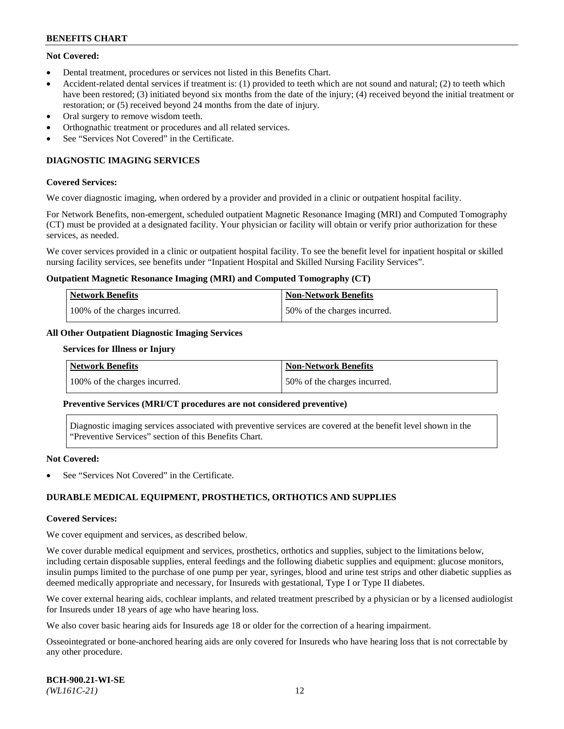# **Not Covered:**

- Dental treatment, procedures or services not listed in this Benefits Chart.
- Accident-related dental services if treatment is: (1) provided to teeth which are not sound and natural; (2) to teeth which have been restored; (3) initiated beyond six months from the date of the injury; (4) received beyond the initial treatment or restoration; or (5) received beyond 24 months from the date of injury.
- Oral surgery to remove wisdom teeth.
- Orthognathic treatment or procedures and all related services.
- See "Services Not Covered" in the Certificate.

# **DIAGNOSTIC IMAGING SERVICES**

#### **Covered Services:**

We cover diagnostic imaging, when ordered by a provider and provided in a clinic or outpatient hospital facility.

For Network Benefits, non-emergent, scheduled outpatient Magnetic Resonance Imaging (MRI) and Computed Tomography (CT) must be provided at a designated facility. Your physician or facility will obtain or verify prior authorization for these services, as needed.

We cover services provided in a clinic or outpatient hospital facility. To see the benefit level for inpatient hospital or skilled nursing facility services, see benefits under "Inpatient Hospital and Skilled Nursing Facility Services".

#### **Outpatient Magnetic Resonance Imaging (MRI) and Computed Tomography (CT)**

| <b>Network Benefits</b>       | <b>Non-Network Benefits</b>  |
|-------------------------------|------------------------------|
| 100% of the charges incurred. | 50% of the charges incurred. |

# **All Other Outpatient Diagnostic Imaging Services**

#### **Services for Illness or Injury**

| <b>Network Benefits</b>       | Non-Network Benefits         |
|-------------------------------|------------------------------|
| 100% of the charges incurred. | 50% of the charges incurred. |

#### **Preventive Services (MRI/CT procedures are not considered preventive)**

Diagnostic imaging services associated with preventive services are covered at the benefit level shown in the "Preventive Services" section of this Benefits Chart.

#### **Not Covered:**

See "Services Not Covered" in the Certificate.

# **DURABLE MEDICAL EQUIPMENT, PROSTHETICS, ORTHOTICS AND SUPPLIES**

#### **Covered Services:**

We cover equipment and services, as described below.

We cover durable medical equipment and services, prosthetics, orthotics and supplies, subject to the limitations below, including certain disposable supplies, enteral feedings and the following diabetic supplies and equipment: glucose monitors, insulin pumps limited to the purchase of one pump per year, syringes, blood and urine test strips and other diabetic supplies as deemed medically appropriate and necessary, for Insureds with gestational, Type I or Type II diabetes.

We cover external hearing aids, cochlear implants, and related treatment prescribed by a physician or by a licensed audiologist for Insureds under 18 years of age who have hearing loss.

We also cover basic hearing aids for Insureds age 18 or older for the correction of a hearing impairment.

Osseointegrated or bone-anchored hearing aids are only covered for Insureds who have hearing loss that is not correctable by any other procedure.

| <b>BCH-900.21-WI-SE</b> |  |
|-------------------------|--|
| $(WLI61C-21)$           |  |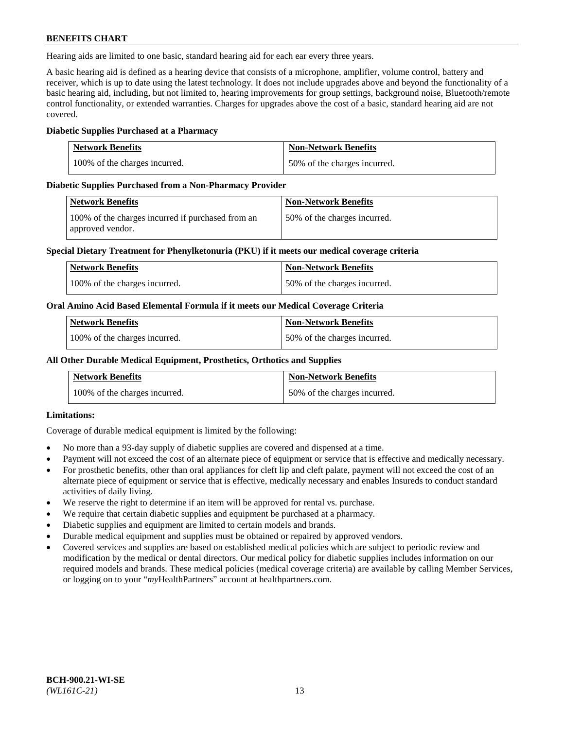Hearing aids are limited to one basic, standard hearing aid for each ear every three years.

A basic hearing aid is defined as a hearing device that consists of a microphone, amplifier, volume control, battery and receiver, which is up to date using the latest technology. It does not include upgrades above and beyond the functionality of a basic hearing aid, including, but not limited to, hearing improvements for group settings, background noise, Bluetooth/remote control functionality, or extended warranties. Charges for upgrades above the cost of a basic, standard hearing aid are not covered.

### **Diabetic Supplies Purchased at a Pharmacy**

| <b>Network Benefits</b>       | <b>Non-Network Benefits</b>  |
|-------------------------------|------------------------------|
| 100% of the charges incurred. | 50% of the charges incurred. |

#### **Diabetic Supplies Purchased from a Non-Pharmacy Provider**

| Network Benefits                                                      | <b>Non-Network Benefits</b>  |
|-----------------------------------------------------------------------|------------------------------|
| 100% of the charges incurred if purchased from an<br>approved vendor. | 50% of the charges incurred. |

#### **Special Dietary Treatment for Phenylketonuria (PKU) if it meets our medical coverage criteria**

| <b>Network Benefits</b>       | <b>Non-Network Benefits</b>  |
|-------------------------------|------------------------------|
| 100% of the charges incurred. | 50% of the charges incurred. |

#### **Oral Amino Acid Based Elemental Formula if it meets our Medical Coverage Criteria**

| <b>Network Benefits</b>       | <b>Non-Network Benefits</b>  |
|-------------------------------|------------------------------|
| 100% of the charges incurred. | 50% of the charges incurred. |

#### **All Other Durable Medical Equipment, Prosthetics, Orthotics and Supplies**

| <b>Network Benefits</b>       | <b>Non-Network Benefits</b>  |
|-------------------------------|------------------------------|
| 100% of the charges incurred. | 50% of the charges incurred. |

# **Limitations:**

Coverage of durable medical equipment is limited by the following:

- No more than a 93-day supply of diabetic supplies are covered and dispensed at a time.
- Payment will not exceed the cost of an alternate piece of equipment or service that is effective and medically necessary.
- For prosthetic benefits, other than oral appliances for cleft lip and cleft palate, payment will not exceed the cost of an alternate piece of equipment or service that is effective, medically necessary and enables Insureds to conduct standard activities of daily living.
- We reserve the right to determine if an item will be approved for rental vs. purchase.
- We require that certain diabetic supplies and equipment be purchased at a pharmacy.
- Diabetic supplies and equipment are limited to certain models and brands.
- Durable medical equipment and supplies must be obtained or repaired by approved vendors.
- Covered services and supplies are based on established medical policies which are subject to periodic review and modification by the medical or dental directors. Our medical policy for diabetic supplies includes information on our required models and brands. These medical policies (medical coverage criteria) are available by calling Member Services, or logging on to your "*my*HealthPartners" account a[t healthpartners.com.](https://www.healthpartners.com/hp/index.html)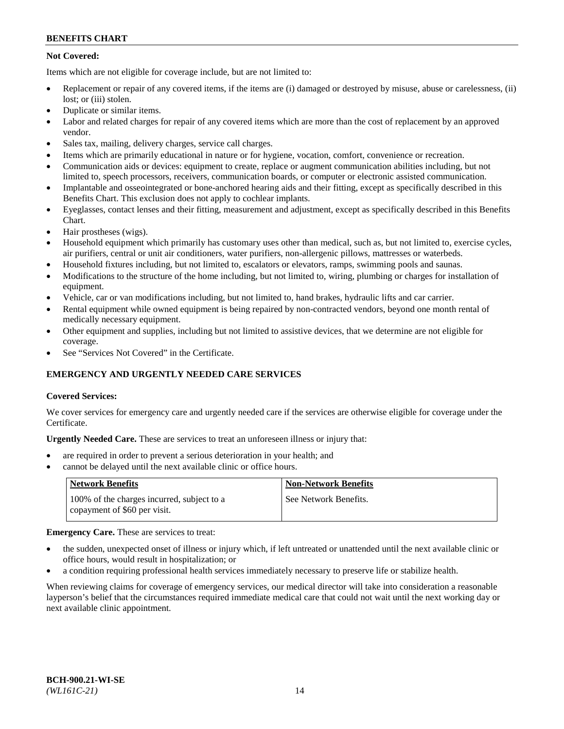# **Not Covered:**

Items which are not eligible for coverage include, but are not limited to:

- Replacement or repair of any covered items, if the items are (i) damaged or destroyed by misuse, abuse or carelessness, (ii) lost; or (iii) stolen.
- Duplicate or similar items.
- Labor and related charges for repair of any covered items which are more than the cost of replacement by an approved vendor.
- Sales tax, mailing, delivery charges, service call charges.
- Items which are primarily educational in nature or for hygiene, vocation, comfort, convenience or recreation.
- Communication aids or devices: equipment to create, replace or augment communication abilities including, but not limited to, speech processors, receivers, communication boards, or computer or electronic assisted communication.
- Implantable and osseointegrated or bone-anchored hearing aids and their fitting, except as specifically described in this Benefits Chart. This exclusion does not apply to cochlear implants.
- Eyeglasses, contact lenses and their fitting, measurement and adjustment, except as specifically described in this Benefits Chart.
- Hair prostheses (wigs).
- Household equipment which primarily has customary uses other than medical, such as, but not limited to, exercise cycles, air purifiers, central or unit air conditioners, water purifiers, non-allergenic pillows, mattresses or waterbeds.
- Household fixtures including, but not limited to, escalators or elevators, ramps, swimming pools and saunas.
- Modifications to the structure of the home including, but not limited to, wiring, plumbing or charges for installation of equipment.
- Vehicle, car or van modifications including, but not limited to, hand brakes, hydraulic lifts and car carrier.
- Rental equipment while owned equipment is being repaired by non-contracted vendors, beyond one month rental of medically necessary equipment.
- Other equipment and supplies, including but not limited to assistive devices, that we determine are not eligible for coverage.
- See "Services Not Covered" in the Certificate.

# **EMERGENCY AND URGENTLY NEEDED CARE SERVICES**

# **Covered Services:**

We cover services for emergency care and urgently needed care if the services are otherwise eligible for coverage under the Certificate.

**Urgently Needed Care.** These are services to treat an unforeseen illness or injury that:

- are required in order to prevent a serious deterioration in your health; and
- cannot be delayed until the next available clinic or office hours.

| <b>Network Benefits</b>                                                    | <b>Non-Network Benefits</b> |
|----------------------------------------------------------------------------|-----------------------------|
| 100% of the charges incurred, subject to a<br>copayment of \$60 per visit. | See Network Benefits.       |

# **Emergency Care.** These are services to treat:

- the sudden, unexpected onset of illness or injury which, if left untreated or unattended until the next available clinic or office hours, would result in hospitalization; or
- a condition requiring professional health services immediately necessary to preserve life or stabilize health.

When reviewing claims for coverage of emergency services, our medical director will take into consideration a reasonable layperson's belief that the circumstances required immediate medical care that could not wait until the next working day or next available clinic appointment.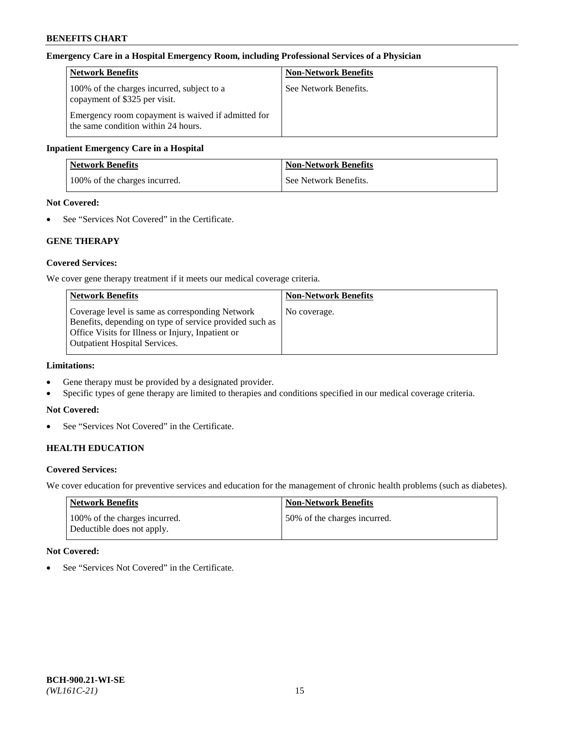#### **Emergency Care in a Hospital Emergency Room, including Professional Services of a Physician**

| <b>Network Benefits</b>                                                                   | <b>Non-Network Benefits</b> |
|-------------------------------------------------------------------------------------------|-----------------------------|
| 100% of the charges incurred, subject to a<br>copayment of \$325 per visit.               | See Network Benefits.       |
| Emergency room copayment is waived if admitted for<br>the same condition within 24 hours. |                             |

#### **Inpatient Emergency Care in a Hospital**

| <b>Network Benefits</b>       | <b>Non-Network Benefits</b> |
|-------------------------------|-----------------------------|
| 100% of the charges incurred. | See Network Benefits.       |

# **Not Covered:**

• See "Services Not Covered" in the Certificate.

# **GENE THERAPY**

#### **Covered Services:**

We cover gene therapy treatment if it meets our medical coverage criteria.

| <b>Network Benefits</b>                                                                                                                                                                                 | <b>Non-Network Benefits</b> |
|---------------------------------------------------------------------------------------------------------------------------------------------------------------------------------------------------------|-----------------------------|
| Coverage level is same as corresponding Network<br>Benefits, depending on type of service provided such as<br>Office Visits for Illness or Injury, Inpatient or<br><b>Outpatient Hospital Services.</b> | No coverage.                |

# **Limitations:**

- Gene therapy must be provided by a designated provider.
- Specific types of gene therapy are limited to therapies and conditions specified in our medical coverage criteria.

#### **Not Covered:**

• See "Services Not Covered" in the Certificate.

# **HEALTH EDUCATION**

#### **Covered Services:**

We cover education for preventive services and education for the management of chronic health problems (such as diabetes).

| <b>Network Benefits</b>                                     | Non-Network Benefits         |
|-------------------------------------------------------------|------------------------------|
| 100% of the charges incurred.<br>Deductible does not apply. | 50% of the charges incurred. |

#### **Not Covered:**

• See "Services Not Covered" in the Certificate.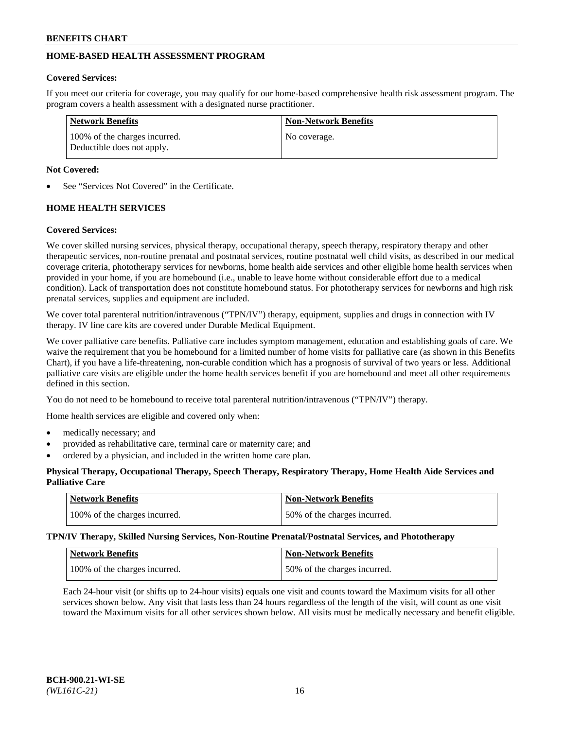# **HOME-BASED HEALTH ASSESSMENT PROGRAM**

# **Covered Services:**

If you meet our criteria for coverage, you may qualify for our home-based comprehensive health risk assessment program. The program covers a health assessment with a designated nurse practitioner.

| <b>Network Benefits</b>                                     | <b>Non-Network Benefits</b> |
|-------------------------------------------------------------|-----------------------------|
| 100% of the charges incurred.<br>Deductible does not apply. | No coverage.                |

# **Not Covered:**

See "Services Not Covered" in the Certificate.

# **HOME HEALTH SERVICES**

# **Covered Services:**

We cover skilled nursing services, physical therapy, occupational therapy, speech therapy, respiratory therapy and other therapeutic services, non-routine prenatal and postnatal services, routine postnatal well child visits, as described in our medical coverage criteria, phototherapy services for newborns, home health aide services and other eligible home health services when provided in your home, if you are homebound (i.e., unable to leave home without considerable effort due to a medical condition). Lack of transportation does not constitute homebound status. For phototherapy services for newborns and high risk prenatal services, supplies and equipment are included.

We cover total parenteral nutrition/intravenous ("TPN/IV") therapy, equipment, supplies and drugs in connection with IV therapy. IV line care kits are covered under Durable Medical Equipment.

We cover palliative care benefits. Palliative care includes symptom management, education and establishing goals of care. We waive the requirement that you be homebound for a limited number of home visits for palliative care (as shown in this Benefits Chart), if you have a life-threatening, non-curable condition which has a prognosis of survival of two years or less. Additional palliative care visits are eligible under the home health services benefit if you are homebound and meet all other requirements defined in this section.

You do not need to be homebound to receive total parenteral nutrition/intravenous ("TPN/IV") therapy.

Home health services are eligible and covered only when:

- medically necessary; and
- provided as rehabilitative care, terminal care or maternity care; and
- ordered by a physician, and included in the written home care plan.

# **Physical Therapy, Occupational Therapy, Speech Therapy, Respiratory Therapy, Home Health Aide Services and Palliative Care**

| Network Benefits              | <b>Non-Network Benefits</b>  |
|-------------------------------|------------------------------|
| 100% of the charges incurred. | 50% of the charges incurred. |

**TPN/IV Therapy, Skilled Nursing Services, Non-Routine Prenatal/Postnatal Services, and Phototherapy**

| Network Benefits              | <b>Non-Network Benefits</b>  |
|-------------------------------|------------------------------|
| 100% of the charges incurred. | 50% of the charges incurred. |

Each 24-hour visit (or shifts up to 24-hour visits) equals one visit and counts toward the Maximum visits for all other services shown below. Any visit that lasts less than 24 hours regardless of the length of the visit, will count as one visit toward the Maximum visits for all other services shown below. All visits must be medically necessary and benefit eligible.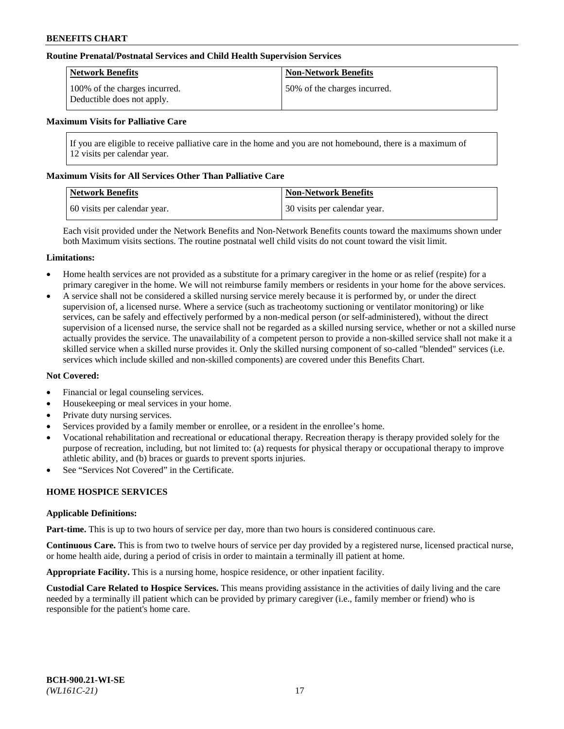### **Routine Prenatal/Postnatal Services and Child Health Supervision Services**

| Network Benefits                                            | <b>Non-Network Benefits</b>  |
|-------------------------------------------------------------|------------------------------|
| 100% of the charges incurred.<br>Deductible does not apply. | 50% of the charges incurred. |

#### **Maximum Visits for Palliative Care**

If you are eligible to receive palliative care in the home and you are not homebound, there is a maximum of 12 visits per calendar year.

#### **Maximum Visits for All Services Other Than Palliative Care**

| <b>Network Benefits</b>      | <b>Non-Network Benefits</b>  |
|------------------------------|------------------------------|
| 60 visits per calendar year. | 30 visits per calendar year. |

Each visit provided under the Network Benefits and Non-Network Benefits counts toward the maximums shown under both Maximum visits sections. The routine postnatal well child visits do not count toward the visit limit.

#### **Limitations:**

- Home health services are not provided as a substitute for a primary caregiver in the home or as relief (respite) for a primary caregiver in the home. We will not reimburse family members or residents in your home for the above services.
- A service shall not be considered a skilled nursing service merely because it is performed by, or under the direct supervision of, a licensed nurse. Where a service (such as tracheotomy suctioning or ventilator monitoring) or like services, can be safely and effectively performed by a non-medical person (or self-administered), without the direct supervision of a licensed nurse, the service shall not be regarded as a skilled nursing service, whether or not a skilled nurse actually provides the service. The unavailability of a competent person to provide a non-skilled service shall not make it a skilled service when a skilled nurse provides it. Only the skilled nursing component of so-called "blended" services (i.e. services which include skilled and non-skilled components) are covered under this Benefits Chart.

#### **Not Covered:**

- Financial or legal counseling services.
- Housekeeping or meal services in your home.
- Private duty nursing services.
- Services provided by a family member or enrollee, or a resident in the enrollee's home.
- Vocational rehabilitation and recreational or educational therapy. Recreation therapy is therapy provided solely for the purpose of recreation, including, but not limited to: (a) requests for physical therapy or occupational therapy to improve athletic ability, and (b) braces or guards to prevent sports injuries.
- See "Services Not Covered" in the Certificate.

# **HOME HOSPICE SERVICES**

#### **Applicable Definitions:**

**Part-time.** This is up to two hours of service per day, more than two hours is considered continuous care.

**Continuous Care.** This is from two to twelve hours of service per day provided by a registered nurse, licensed practical nurse, or home health aide, during a period of crisis in order to maintain a terminally ill patient at home.

**Appropriate Facility.** This is a nursing home, hospice residence, or other inpatient facility.

**Custodial Care Related to Hospice Services.** This means providing assistance in the activities of daily living and the care needed by a terminally ill patient which can be provided by primary caregiver (i.e., family member or friend) who is responsible for the patient's home care.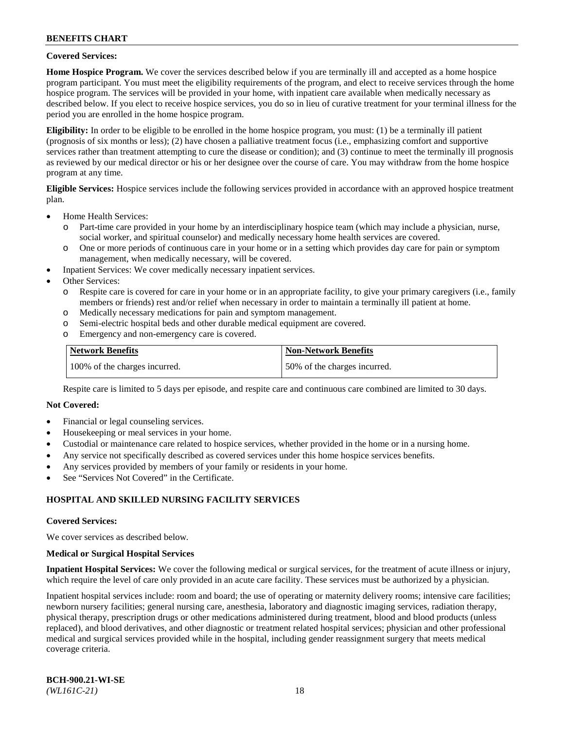### **Covered Services:**

**Home Hospice Program.** We cover the services described below if you are terminally ill and accepted as a home hospice program participant. You must meet the eligibility requirements of the program, and elect to receive services through the home hospice program. The services will be provided in your home, with inpatient care available when medically necessary as described below. If you elect to receive hospice services, you do so in lieu of curative treatment for your terminal illness for the period you are enrolled in the home hospice program.

**Eligibility:** In order to be eligible to be enrolled in the home hospice program, you must: (1) be a terminally ill patient (prognosis of six months or less); (2) have chosen a palliative treatment focus (i.e., emphasizing comfort and supportive services rather than treatment attempting to cure the disease or condition); and (3) continue to meet the terminally ill prognosis as reviewed by our medical director or his or her designee over the course of care. You may withdraw from the home hospice program at any time.

**Eligible Services:** Hospice services include the following services provided in accordance with an approved hospice treatment plan.

- Home Health Services:
	- o Part-time care provided in your home by an interdisciplinary hospice team (which may include a physician, nurse, social worker, and spiritual counselor) and medically necessary home health services are covered.
	- o One or more periods of continuous care in your home or in a setting which provides day care for pain or symptom management, when medically necessary, will be covered.
	- Inpatient Services: We cover medically necessary inpatient services.
- Other Services:
	- o Respite care is covered for care in your home or in an appropriate facility, to give your primary caregivers (i.e., family members or friends) rest and/or relief when necessary in order to maintain a terminally ill patient at home.
	- o Medically necessary medications for pain and symptom management.
	- o Semi-electric hospital beds and other durable medical equipment are covered.
	- o Emergency and non-emergency care is covered.

| Network Benefits              | <b>Non-Network Benefits</b>  |
|-------------------------------|------------------------------|
| 100% of the charges incurred. | 50% of the charges incurred. |

Respite care is limited to 5 days per episode, and respite care and continuous care combined are limited to 30 days.

#### **Not Covered:**

- Financial or legal counseling services.
- Housekeeping or meal services in your home.
- Custodial or maintenance care related to hospice services, whether provided in the home or in a nursing home.
- Any service not specifically described as covered services under this home hospice services benefits.
- Any services provided by members of your family or residents in your home.
- See "Services Not Covered" in the Certificate.

# **HOSPITAL AND SKILLED NURSING FACILITY SERVICES**

#### **Covered Services:**

We cover services as described below.

#### **Medical or Surgical Hospital Services**

**Inpatient Hospital Services:** We cover the following medical or surgical services, for the treatment of acute illness or injury, which require the level of care only provided in an acute care facility. These services must be authorized by a physician.

Inpatient hospital services include: room and board; the use of operating or maternity delivery rooms; intensive care facilities; newborn nursery facilities; general nursing care, anesthesia, laboratory and diagnostic imaging services, radiation therapy, physical therapy, prescription drugs or other medications administered during treatment, blood and blood products (unless replaced), and blood derivatives, and other diagnostic or treatment related hospital services; physician and other professional medical and surgical services provided while in the hospital, including gender reassignment surgery that meets medical coverage criteria.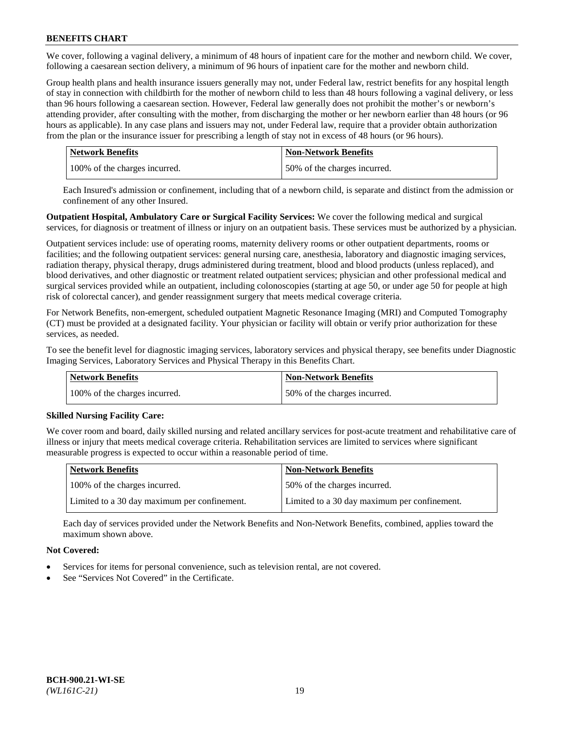We cover, following a vaginal delivery, a minimum of 48 hours of inpatient care for the mother and newborn child. We cover, following a caesarean section delivery, a minimum of 96 hours of inpatient care for the mother and newborn child.

Group health plans and health insurance issuers generally may not, under Federal law, restrict benefits for any hospital length of stay in connection with childbirth for the mother of newborn child to less than 48 hours following a vaginal delivery, or less than 96 hours following a caesarean section. However, Federal law generally does not prohibit the mother's or newborn's attending provider, after consulting with the mother, from discharging the mother or her newborn earlier than 48 hours (or 96 hours as applicable). In any case plans and issuers may not, under Federal law, require that a provider obtain authorization from the plan or the insurance issuer for prescribing a length of stay not in excess of 48 hours (or 96 hours).

| Network Benefits              | <b>Non-Network Benefits</b>  |
|-------------------------------|------------------------------|
| 100% of the charges incurred. | 50% of the charges incurred. |

Each Insured's admission or confinement, including that of a newborn child, is separate and distinct from the admission or confinement of any other Insured.

**Outpatient Hospital, Ambulatory Care or Surgical Facility Services:** We cover the following medical and surgical services, for diagnosis or treatment of illness or injury on an outpatient basis. These services must be authorized by a physician.

Outpatient services include: use of operating rooms, maternity delivery rooms or other outpatient departments, rooms or facilities; and the following outpatient services: general nursing care, anesthesia, laboratory and diagnostic imaging services, radiation therapy, physical therapy, drugs administered during treatment, blood and blood products (unless replaced), and blood derivatives, and other diagnostic or treatment related outpatient services; physician and other professional medical and surgical services provided while an outpatient, including colonoscopies (starting at age 50, or under age 50 for people at high risk of colorectal cancer), and gender reassignment surgery that meets medical coverage criteria.

For Network Benefits, non-emergent, scheduled outpatient Magnetic Resonance Imaging (MRI) and Computed Tomography (CT) must be provided at a designated facility. Your physician or facility will obtain or verify prior authorization for these services, as needed.

To see the benefit level for diagnostic imaging services, laboratory services and physical therapy, see benefits under Diagnostic Imaging Services, Laboratory Services and Physical Therapy in this Benefits Chart.

| <b>Network Benefits</b>       | <b>Non-Network Benefits</b>  |
|-------------------------------|------------------------------|
| 100% of the charges incurred. | 50% of the charges incurred. |

# **Skilled Nursing Facility Care:**

We cover room and board, daily skilled nursing and related ancillary services for post-acute treatment and rehabilitative care of illness or injury that meets medical coverage criteria. Rehabilitation services are limited to services where significant measurable progress is expected to occur within a reasonable period of time.

| <b>Network Benefits</b>                      | <b>Non-Network Benefits</b>                  |
|----------------------------------------------|----------------------------------------------|
| 100% of the charges incurred.                | 50% of the charges incurred.                 |
| Limited to a 30 day maximum per confinement. | Limited to a 30 day maximum per confinement. |

Each day of services provided under the Network Benefits and Non-Network Benefits, combined, applies toward the maximum shown above.

# **Not Covered:**

- Services for items for personal convenience, such as television rental, are not covered.
- See "Services Not Covered" in the Certificate.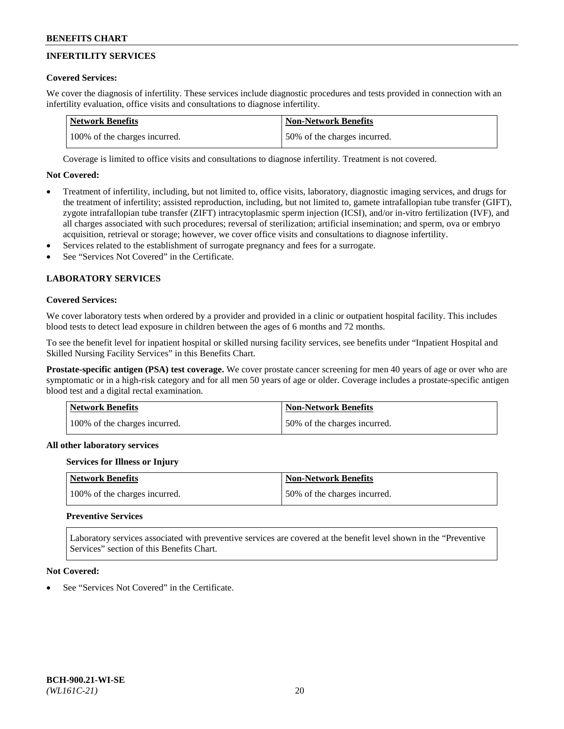# **INFERTILITY SERVICES**

# **Covered Services:**

We cover the diagnosis of infertility. These services include diagnostic procedures and tests provided in connection with an infertility evaluation, office visits and consultations to diagnose infertility.

| Network Benefits              | Non-Network Benefits         |
|-------------------------------|------------------------------|
| 100% of the charges incurred. | 50% of the charges incurred. |

Coverage is limited to office visits and consultations to diagnose infertility. Treatment is not covered.

# **Not Covered:**

- Treatment of infertility, including, but not limited to, office visits, laboratory, diagnostic imaging services, and drugs for the treatment of infertility; assisted reproduction, including, but not limited to, gamete intrafallopian tube transfer (GIFT), zygote intrafallopian tube transfer (ZIFT) intracytoplasmic sperm injection (ICSI), and/or in-vitro fertilization (IVF), and all charges associated with such procedures; reversal of sterilization; artificial insemination; and sperm, ova or embryo acquisition, retrieval or storage; however, we cover office visits and consultations to diagnose infertility.
- Services related to the establishment of surrogate pregnancy and fees for a surrogate.
- See "Services Not Covered" in the Certificate.

# **LABORATORY SERVICES**

#### **Covered Services:**

We cover laboratory tests when ordered by a provider and provided in a clinic or outpatient hospital facility. This includes blood tests to detect lead exposure in children between the ages of 6 months and 72 months.

To see the benefit level for inpatient hospital or skilled nursing facility services, see benefits under "Inpatient Hospital and Skilled Nursing Facility Services" in this Benefits Chart.

**Prostate-specific antigen (PSA) test coverage.** We cover prostate cancer screening for men 40 years of age or over who are symptomatic or in a high-risk category and for all men 50 years of age or older. Coverage includes a prostate-specific antigen blood test and a digital rectal examination.

| Network Benefits              | <b>Non-Network Benefits</b>  |
|-------------------------------|------------------------------|
| 100% of the charges incurred. | 50% of the charges incurred. |

# **All other laboratory services**

#### **Services for Illness or Injury**

| <b>Network Benefits</b>       | <b>Non-Network Benefits</b>  |
|-------------------------------|------------------------------|
| 100% of the charges incurred. | 50% of the charges incurred. |

# **Preventive Services**

Laboratory services associated with preventive services are covered at the benefit level shown in the "Preventive Services" section of this Benefits Chart.

#### **Not Covered:**

See "Services Not Covered" in the Certificate.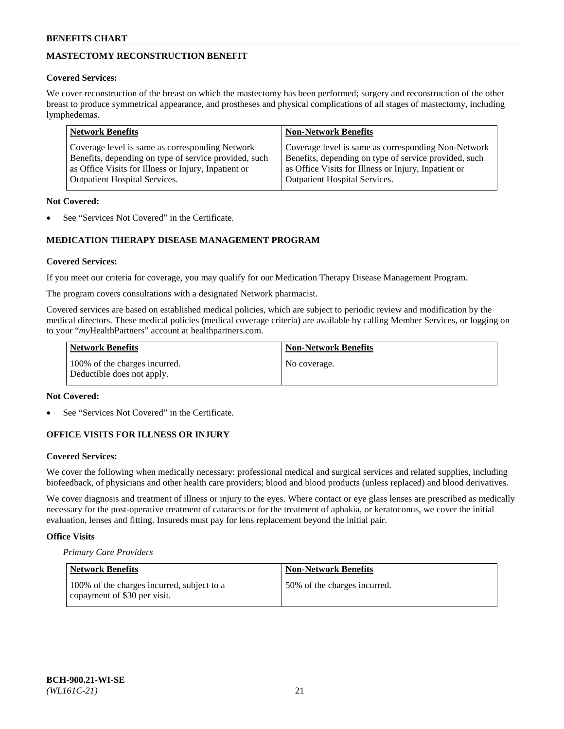# **MASTECTOMY RECONSTRUCTION BENEFIT**

## **Covered Services:**

We cover reconstruction of the breast on which the mastectomy has been performed; surgery and reconstruction of the other breast to produce symmetrical appearance, and prostheses and physical complications of all stages of mastectomy, including lymphedemas.

| <b>Network Benefits</b>                               | <b>Non-Network Benefits</b>                           |
|-------------------------------------------------------|-------------------------------------------------------|
| Coverage level is same as corresponding Network       | Coverage level is same as corresponding Non-Network   |
| Benefits, depending on type of service provided, such | Benefits, depending on type of service provided, such |
| as Office Visits for Illness or Injury, Inpatient or  | as Office Visits for Illness or Injury, Inpatient or  |
| <b>Outpatient Hospital Services.</b>                  | <b>Outpatient Hospital Services.</b>                  |

## **Not Covered:**

See "Services Not Covered" in the Certificate.

# **MEDICATION THERAPY DISEASE MANAGEMENT PROGRAM**

# **Covered Services:**

If you meet our criteria for coverage, you may qualify for our Medication Therapy Disease Management Program.

The program covers consultations with a designated Network pharmacist.

Covered services are based on established medical policies, which are subject to periodic review and modification by the medical directors. These medical policies (medical coverage criteria) are available by calling Member Services, or logging on to your "*my*HealthPartners" account at [healthpartners.com.](http://www.healthpartners.com/)

| Network Benefits                                            | <b>Non-Network Benefits</b> |
|-------------------------------------------------------------|-----------------------------|
| 100% of the charges incurred.<br>Deductible does not apply. | No coverage.                |

#### **Not Covered:**

See "Services Not Covered" in the Certificate.

# **OFFICE VISITS FOR ILLNESS OR INJURY**

#### **Covered Services:**

We cover the following when medically necessary: professional medical and surgical services and related supplies, including biofeedback, of physicians and other health care providers; blood and blood products (unless replaced) and blood derivatives.

We cover diagnosis and treatment of illness or injury to the eyes. Where contact or eye glass lenses are prescribed as medically necessary for the post-operative treatment of cataracts or for the treatment of aphakia, or keratoconus, we cover the initial evaluation, lenses and fitting. Insureds must pay for lens replacement beyond the initial pair.

# **Office Visits**

*Primary Care Providers*

| Network Benefits                                                           | <b>Non-Network Benefits</b>  |
|----------------------------------------------------------------------------|------------------------------|
| 100% of the charges incurred, subject to a<br>copayment of \$30 per visit. | 50% of the charges incurred. |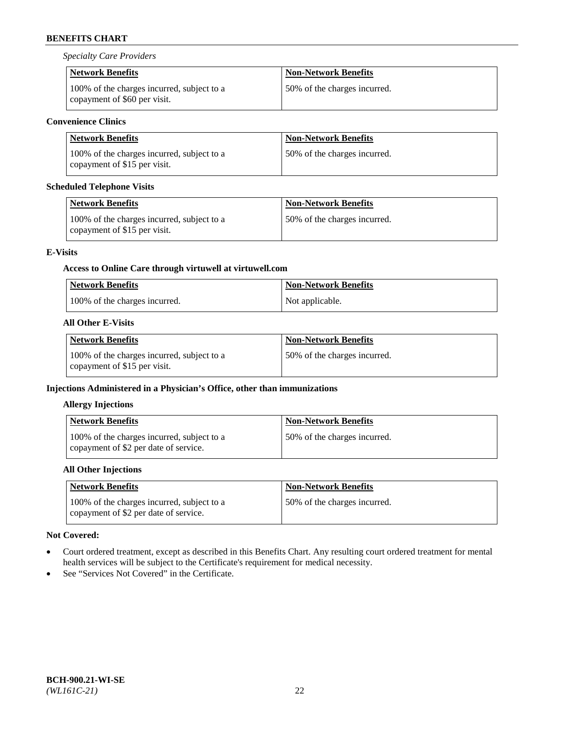*Specialty Care Providers*

| <b>Network Benefits</b>                                                    | <b>Non-Network Benefits</b>  |
|----------------------------------------------------------------------------|------------------------------|
| 100% of the charges incurred, subject to a<br>copayment of \$60 per visit. | 50% of the charges incurred. |

# **Convenience Clinics**

| Network Benefits                                                           | Non-Network Benefits         |
|----------------------------------------------------------------------------|------------------------------|
| 100% of the charges incurred, subject to a<br>copayment of \$15 per visit. | 50% of the charges incurred. |

# **Scheduled Telephone Visits**

| <b>Network Benefits</b>                                                    | <b>Non-Network Benefits</b>  |
|----------------------------------------------------------------------------|------------------------------|
| 100% of the charges incurred, subject to a<br>copayment of \$15 per visit. | 50% of the charges incurred. |

# **E-Visits**

# **Access to Online Care through virtuwell a[t virtuwell.com](https://www.virtuwell.com/)**

| <b>Network Benefits</b>       | <b>Non-Network Benefits</b> |
|-------------------------------|-----------------------------|
| 100% of the charges incurred. | Not applicable.             |

# **All Other E-Visits**

| Network Benefits                                                           | <b>Non-Network Benefits</b>  |
|----------------------------------------------------------------------------|------------------------------|
| 100% of the charges incurred, subject to a<br>copayment of \$15 per visit. | 50% of the charges incurred. |

# **Injections Administered in a Physician's Office, other than immunizations**

# **Allergy Injections**

| <b>Network Benefits</b>                                                             | <b>Non-Network Benefits</b>  |
|-------------------------------------------------------------------------------------|------------------------------|
| 100% of the charges incurred, subject to a<br>copayment of \$2 per date of service. | 50% of the charges incurred. |

# **All Other Injections**

| <b>Network Benefits</b>                                                             | <b>Non-Network Benefits</b>  |
|-------------------------------------------------------------------------------------|------------------------------|
| 100% of the charges incurred, subject to a<br>copayment of \$2 per date of service. | 50% of the charges incurred. |

# **Not Covered:**

- Court ordered treatment, except as described in this Benefits Chart. Any resulting court ordered treatment for mental health services will be subject to the Certificate's requirement for medical necessity.
- See "Services Not Covered" in the Certificate.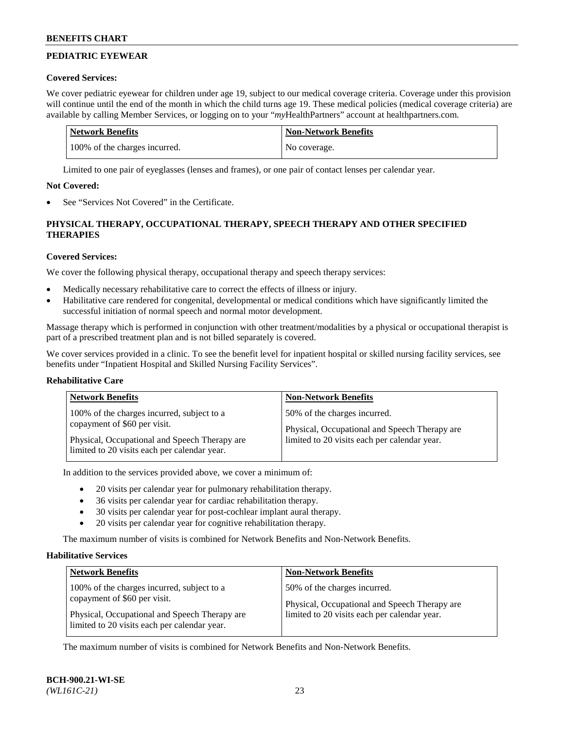# **PEDIATRIC EYEWEAR**

### **Covered Services:**

We cover pediatric eyewear for children under age 19, subject to our medical coverage criteria. Coverage under this provision will continue until the end of the month in which the child turns age 19. These medical policies (medical coverage criteria) are available by calling Member Services, or logging on to your "*my*HealthPartners" account a[t healthpartners.com.](https://www.healthpartners.com/hp/index.html)

| Network Benefits              | <b>Non-Network Benefits</b> |
|-------------------------------|-----------------------------|
| 100% of the charges incurred. | No coverage.                |

Limited to one pair of eyeglasses (lenses and frames), or one pair of contact lenses per calendar year.

#### **Not Covered:**

See "Services Not Covered" in the Certificate.

# **PHYSICAL THERAPY, OCCUPATIONAL THERAPY, SPEECH THERAPY AND OTHER SPECIFIED THERAPIES**

# **Covered Services:**

We cover the following physical therapy, occupational therapy and speech therapy services:

- Medically necessary rehabilitative care to correct the effects of illness or injury.
- Habilitative care rendered for congenital, developmental or medical conditions which have significantly limited the successful initiation of normal speech and normal motor development.

Massage therapy which is performed in conjunction with other treatment/modalities by a physical or occupational therapist is part of a prescribed treatment plan and is not billed separately is covered.

We cover services provided in a clinic. To see the benefit level for inpatient hospital or skilled nursing facility services, see benefits under "Inpatient Hospital and Skilled Nursing Facility Services".

#### **Rehabilitative Care**

| <b>Network Benefits</b>                        | <b>Non-Network Benefits</b>                   |
|------------------------------------------------|-----------------------------------------------|
| 100% of the charges incurred, subject to a     | 50% of the charges incurred.                  |
| copayment of \$60 per visit.                   | Physical, Occupational and Speech Therapy are |
| Physical, Occupational and Speech Therapy are. | limited to 20 visits each per calendar year.  |
| limited to 20 visits each per calendar year.   |                                               |

In addition to the services provided above, we cover a minimum of:

- 20 visits per calendar year for pulmonary rehabilitation therapy.
- 36 visits per calendar year for cardiac rehabilitation therapy.
- 30 visits per calendar year for post-cochlear implant aural therapy.
- 20 visits per calendar year for cognitive rehabilitation therapy.

The maximum number of visits is combined for Network Benefits and Non-Network Benefits.

#### **Habilitative Services**

| <b>Network Benefits</b>                                                                                                     | <b>Non-Network Benefits</b>                                                                                                   |
|-----------------------------------------------------------------------------------------------------------------------------|-------------------------------------------------------------------------------------------------------------------------------|
| 100% of the charges incurred, subject to a<br>copayment of \$60 per visit.<br>Physical, Occupational and Speech Therapy are | 50% of the charges incurred.<br>Physical, Occupational and Speech Therapy are<br>limited to 20 visits each per calendar year. |
| limited to 20 visits each per calendar year.                                                                                |                                                                                                                               |

The maximum number of visits is combined for Network Benefits and Non-Network Benefits.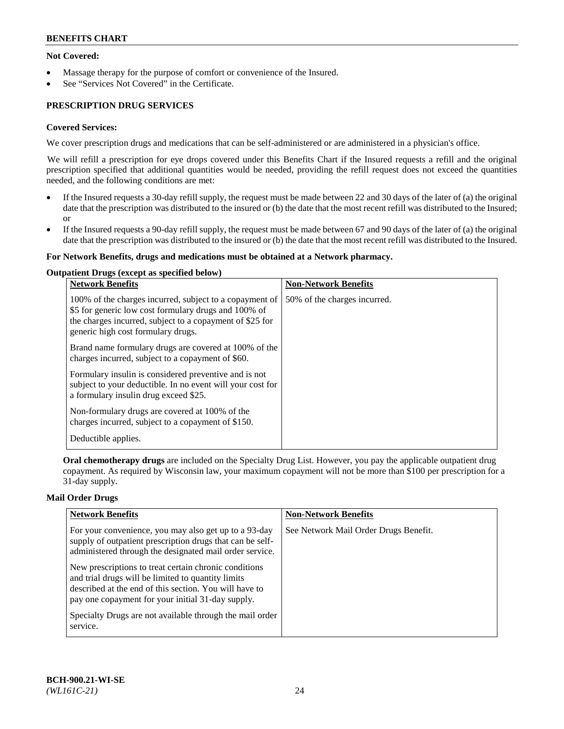# **Not Covered:**

- Massage therapy for the purpose of comfort or convenience of the Insured.
- See "Services Not Covered" in the Certificate.

# **PRESCRIPTION DRUG SERVICES**

# **Covered Services:**

We cover prescription drugs and medications that can be self-administered or are administered in a physician's office.

We will refill a prescription for eye drops covered under this Benefits Chart if the Insured requests a refill and the original prescription specified that additional quantities would be needed, providing the refill request does not exceed the quantities needed, and the following conditions are met:

- If the Insured requests a 30-day refill supply, the request must be made between 22 and 30 days of the later of (a) the original date that the prescription was distributed to the insured or (b) the date that the most recent refill was distributed to the Insured; or
- If the Insured requests a 90-day refill supply, the request must be made between 67 and 90 days of the later of (a) the original date that the prescription was distributed to the insured or (b) the date that the most recent refill was distributed to the Insured.

#### **For Network Benefits, drugs and medications must be obtained at a Network pharmacy.**

#### **Outpatient Drugs (except as specified below)**

| <b>Network Benefits</b>                                                                                                                                                                                           | <b>Non-Network Benefits</b>  |
|-------------------------------------------------------------------------------------------------------------------------------------------------------------------------------------------------------------------|------------------------------|
| 100% of the charges incurred, subject to a copayment of<br>\$5 for generic low cost formulary drugs and 100% of<br>the charges incurred, subject to a copayment of \$25 for<br>generic high cost formulary drugs. | 50% of the charges incurred. |
| Brand name formulary drugs are covered at 100% of the<br>charges incurred, subject to a copayment of \$60.                                                                                                        |                              |
| Formulary insulin is considered preventive and is not<br>subject to your deductible. In no event will your cost for<br>a formulary insulin drug exceed \$25.                                                      |                              |
| Non-formulary drugs are covered at 100% of the<br>charges incurred, subject to a copayment of \$150.                                                                                                              |                              |
| Deductible applies.                                                                                                                                                                                               |                              |

**Oral chemotherapy drugs** are included on the Specialty Drug List. However, you pay the applicable outpatient drug copayment. As required by Wisconsin law, your maximum copayment will not be more than \$100 per prescription for a 31-day supply.

#### **Mail Order Drugs**

| <b>Network Benefits</b>                                                                                                                                                                                                    | <b>Non-Network Benefits</b>           |
|----------------------------------------------------------------------------------------------------------------------------------------------------------------------------------------------------------------------------|---------------------------------------|
| For your convenience, you may also get up to a 93-day<br>supply of outpatient prescription drugs that can be self-<br>administered through the designated mail order service.                                              | See Network Mail Order Drugs Benefit. |
| New prescriptions to treat certain chronic conditions<br>and trial drugs will be limited to quantity limits<br>described at the end of this section. You will have to<br>pay one copayment for your initial 31-day supply. |                                       |
| Specialty Drugs are not available through the mail order<br>service.                                                                                                                                                       |                                       |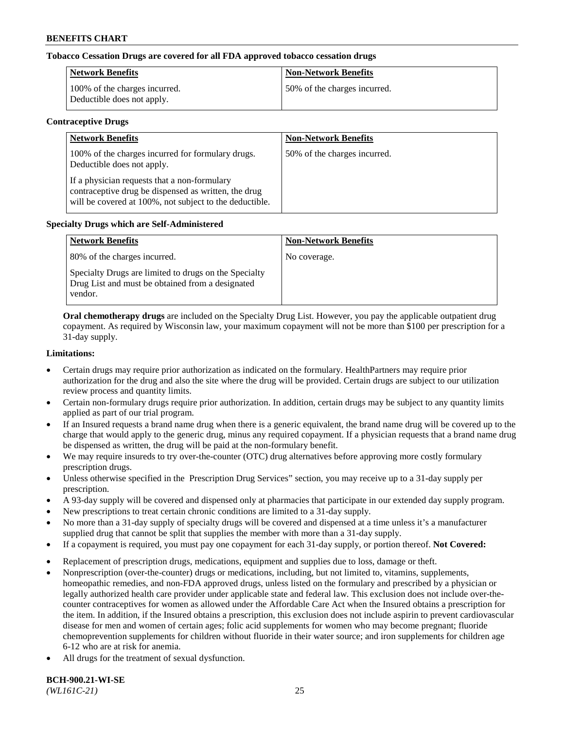# **Tobacco Cessation Drugs are covered for all FDA approved tobacco cessation drugs**

| <b>Network Benefits</b>                                     | <b>Non-Network Benefits</b>  |
|-------------------------------------------------------------|------------------------------|
| 100% of the charges incurred.<br>Deductible does not apply. | 50% of the charges incurred. |

#### **Contraceptive Drugs**

| <b>Network Benefits</b>                                                                                                                                         | <b>Non-Network Benefits</b>  |
|-----------------------------------------------------------------------------------------------------------------------------------------------------------------|------------------------------|
| 100% of the charges incurred for formulary drugs.<br>Deductible does not apply.                                                                                 | 50% of the charges incurred. |
| If a physician requests that a non-formulary<br>contraceptive drug be dispensed as written, the drug<br>will be covered at 100%, not subject to the deductible. |                              |

#### **Specialty Drugs which are Self-Administered**

| <b>Network Benefits</b>                                                                                              | <b>Non-Network Benefits</b> |
|----------------------------------------------------------------------------------------------------------------------|-----------------------------|
| 80% of the charges incurred.                                                                                         | No coverage.                |
| Specialty Drugs are limited to drugs on the Specialty<br>Drug List and must be obtained from a designated<br>vendor. |                             |

**Oral chemotherapy drugs** are included on the Specialty Drug List. However, you pay the applicable outpatient drug copayment. As required by Wisconsin law, your maximum copayment will not be more than \$100 per prescription for a 31-day supply.

#### **Limitations:**

- Certain drugs may require prior authorization as indicated on the formulary. HealthPartners may require prior authorization for the drug and also the site where the drug will be provided. Certain drugs are subject to our utilization review process and quantity limits.
- Certain non-formulary drugs require prior authorization. In addition, certain drugs may be subject to any quantity limits applied as part of our trial program.
- If an Insured requests a brand name drug when there is a generic equivalent, the brand name drug will be covered up to the charge that would apply to the generic drug, minus any required copayment. If a physician requests that a brand name drug be dispensed as written, the drug will be paid at the non-formulary benefit.
- We may require insureds to try over-the-counter (OTC) drug alternatives before approving more costly formulary prescription drugs.
- Unless otherwise specified in the Prescription Drug Services" section, you may receive up to a 31-day supply per prescription.
- A 93-day supply will be covered and dispensed only at pharmacies that participate in our extended day supply program.
- New prescriptions to treat certain chronic conditions are limited to a 31-day supply.
- No more than a 31-day supply of specialty drugs will be covered and dispensed at a time unless it's a manufacturer supplied drug that cannot be split that supplies the member with more than a 31-day supply.
- If a copayment is required, you must pay one copayment for each 31-day supply, or portion thereof. **Not Covered:**
- Replacement of prescription drugs, medications, equipment and supplies due to loss, damage or theft.
- Nonprescription (over-the-counter) drugs or medications, including, but not limited to, vitamins, supplements, homeopathic remedies, and non-FDA approved drugs, unless listed on the formulary and prescribed by a physician or legally authorized health care provider under applicable state and federal law. This exclusion does not include over-thecounter contraceptives for women as allowed under the Affordable Care Act when the Insured obtains a prescription for the item. In addition, if the Insured obtains a prescription, this exclusion does not include aspirin to prevent cardiovascular disease for men and women of certain ages; folic acid supplements for women who may become pregnant; fluoride chemoprevention supplements for children without fluoride in their water source; and iron supplements for children age 6-12 who are at risk for anemia.
- All drugs for the treatment of sexual dysfunction.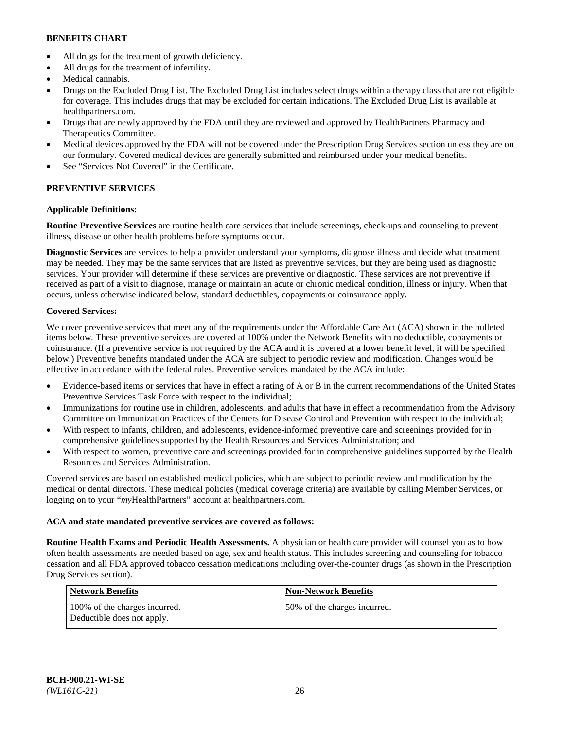- All drugs for the treatment of growth deficiency.
- All drugs for the treatment of infertility.
- Medical cannabis.
- Drugs on the Excluded Drug List. The Excluded Drug List includes select drugs within a therapy class that are not eligible for coverage. This includes drugs that may be excluded for certain indications. The Excluded Drug List is available at [healthpartners.com.](http://www.healthpartners.com/)
- Drugs that are newly approved by the FDA until they are reviewed and approved by HealthPartners Pharmacy and Therapeutics Committee.
- Medical devices approved by the FDA will not be covered under the Prescription Drug Services section unless they are on our formulary. Covered medical devices are generally submitted and reimbursed under your medical benefits.
- See "Services Not Covered" in the Certificate.

# **PREVENTIVE SERVICES**

# **Applicable Definitions:**

**Routine Preventive Services** are routine health care services that include screenings, check-ups and counseling to prevent illness, disease or other health problems before symptoms occur.

**Diagnostic Services** are services to help a provider understand your symptoms, diagnose illness and decide what treatment may be needed. They may be the same services that are listed as preventive services, but they are being used as diagnostic services. Your provider will determine if these services are preventive or diagnostic. These services are not preventive if received as part of a visit to diagnose, manage or maintain an acute or chronic medical condition, illness or injury. When that occurs, unless otherwise indicated below, standard deductibles, copayments or coinsurance apply.

# **Covered Services:**

We cover preventive services that meet any of the requirements under the Affordable Care Act (ACA) shown in the bulleted items below. These preventive services are covered at 100% under the Network Benefits with no deductible, copayments or coinsurance. (If a preventive service is not required by the ACA and it is covered at a lower benefit level, it will be specified below.) Preventive benefits mandated under the ACA are subject to periodic review and modification. Changes would be effective in accordance with the federal rules. Preventive services mandated by the ACA include:

- Evidence-based items or services that have in effect a rating of A or B in the current recommendations of the United States Preventive Services Task Force with respect to the individual;
- Immunizations for routine use in children, adolescents, and adults that have in effect a recommendation from the Advisory Committee on Immunization Practices of the Centers for Disease Control and Prevention with respect to the individual;
- With respect to infants, children, and adolescents, evidence-informed preventive care and screenings provided for in comprehensive guidelines supported by the Health Resources and Services Administration; and
- With respect to women, preventive care and screenings provided for in comprehensive guidelines supported by the Health Resources and Services Administration.

Covered services are based on established medical policies, which are subject to periodic review and modification by the medical or dental directors. These medical policies (medical coverage criteria) are available by calling Member Services, or logging on to your "*my*HealthPartners" account at [healthpartners.com.](https://www.healthpartners.com/hp/index.html)

# **ACA and state mandated preventive services are covered as follows:**

**Routine Health Exams and Periodic Health Assessments.** A physician or health care provider will counsel you as to how often health assessments are needed based on age, sex and health status. This includes screening and counseling for tobacco cessation and all FDA approved tobacco cessation medications including over-the-counter drugs (as shown in the Prescription Drug Services section).

| <b>Network Benefits</b>                                     | <b>Non-Network Benefits</b>  |
|-------------------------------------------------------------|------------------------------|
| 100% of the charges incurred.<br>Deductible does not apply. | 50% of the charges incurred. |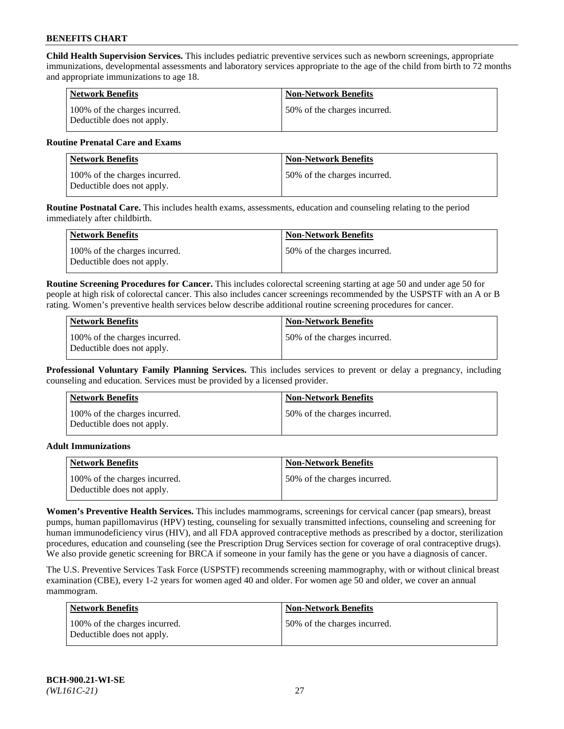**Child Health Supervision Services.** This includes pediatric preventive services such as newborn screenings, appropriate immunizations, developmental assessments and laboratory services appropriate to the age of the child from birth to 72 months and appropriate immunizations to age 18.

| <b>Network Benefits</b>                                     | <b>Non-Network Benefits</b>  |
|-------------------------------------------------------------|------------------------------|
| 100% of the charges incurred.<br>Deductible does not apply. | 50% of the charges incurred. |

### **Routine Prenatal Care and Exams**

| Network Benefits                                            | <b>Non-Network Benefits</b>  |
|-------------------------------------------------------------|------------------------------|
| 100% of the charges incurred.<br>Deductible does not apply. | 50% of the charges incurred. |

**Routine Postnatal Care.** This includes health exams, assessments, education and counseling relating to the period immediately after childbirth.

| Network Benefits                                            | <b>Non-Network Benefits</b>  |
|-------------------------------------------------------------|------------------------------|
| 100% of the charges incurred.<br>Deductible does not apply. | 50% of the charges incurred. |

**Routine Screening Procedures for Cancer.** This includes colorectal screening starting at age 50 and under age 50 for people at high risk of colorectal cancer. This also includes cancer screenings recommended by the USPSTF with an A or B rating. Women's preventive health services below describe additional routine screening procedures for cancer.

| <b>Network Benefits</b>                                     | <b>Non-Network Benefits</b>   |
|-------------------------------------------------------------|-------------------------------|
| 100% of the charges incurred.<br>Deductible does not apply. | 150% of the charges incurred. |

**Professional Voluntary Family Planning Services.** This includes services to prevent or delay a pregnancy, including counseling and education. Services must be provided by a licensed provider.

| <b>Network Benefits</b>                                     | <b>Non-Network Benefits</b>  |
|-------------------------------------------------------------|------------------------------|
| 100% of the charges incurred.<br>Deductible does not apply. | 50% of the charges incurred. |

#### **Adult Immunizations**

| Network Benefits                                            | <b>Non-Network Benefits</b>   |
|-------------------------------------------------------------|-------------------------------|
| 100% of the charges incurred.<br>Deductible does not apply. | 150% of the charges incurred. |

**Women's Preventive Health Services.** This includes mammograms, screenings for cervical cancer (pap smears), breast pumps, human papillomavirus (HPV) testing, counseling for sexually transmitted infections, counseling and screening for human immunodeficiency virus (HIV), and all FDA approved contraceptive methods as prescribed by a doctor, sterilization procedures, education and counseling (see the Prescription Drug Services section for coverage of oral contraceptive drugs). We also provide genetic screening for BRCA if someone in your family has the gene or you have a diagnosis of cancer.

The U.S. Preventive Services Task Force (USPSTF) recommends screening mammography, with or without clinical breast examination (CBE), every 1-2 years for women aged 40 and older. For women age 50 and older, we cover an annual mammogram.

| <b>Network Benefits</b>                                     | <b>Non-Network Benefits</b>  |
|-------------------------------------------------------------|------------------------------|
| 100% of the charges incurred.<br>Deductible does not apply. | 50% of the charges incurred. |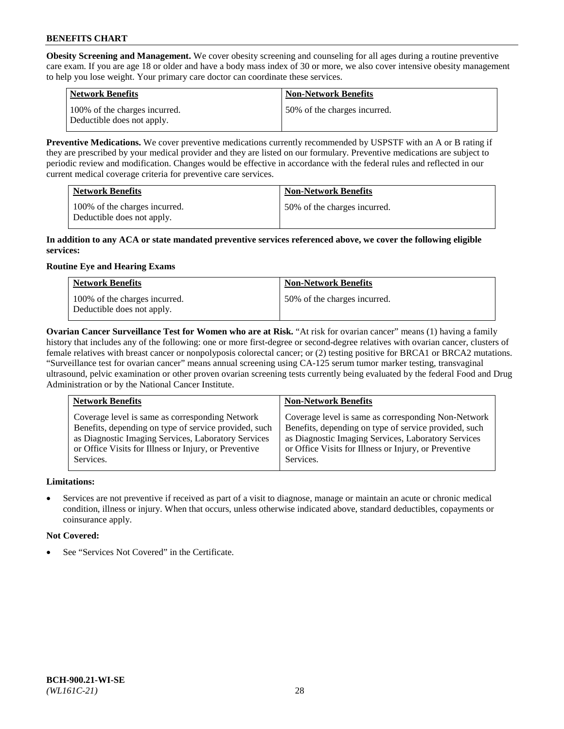**Obesity Screening and Management.** We cover obesity screening and counseling for all ages during a routine preventive care exam. If you are age 18 or older and have a body mass index of 30 or more, we also cover intensive obesity management to help you lose weight. Your primary care doctor can coordinate these services.

| <b>Network Benefits</b>                                     | <b>Non-Network Benefits</b>  |
|-------------------------------------------------------------|------------------------------|
| 100% of the charges incurred.<br>Deductible does not apply. | 50% of the charges incurred. |

**Preventive Medications.** We cover preventive medications currently recommended by USPSTF with an A or B rating if they are prescribed by your medical provider and they are listed on our formulary. Preventive medications are subject to periodic review and modification. Changes would be effective in accordance with the federal rules and reflected in our current medical coverage criteria for preventive care services.

| <b>Network Benefits</b>                                     | <b>Non-Network Benefits</b>  |
|-------------------------------------------------------------|------------------------------|
| 100% of the charges incurred.<br>Deductible does not apply. | 50% of the charges incurred. |

### **In addition to any ACA or state mandated preventive services referenced above, we cover the following eligible services:**

# **Routine Eye and Hearing Exams**

| <b>Network Benefits</b>                                     | <b>Non-Network Benefits</b>  |
|-------------------------------------------------------------|------------------------------|
| 100% of the charges incurred.<br>Deductible does not apply. | 50% of the charges incurred. |

**Ovarian Cancer Surveillance Test for Women who are at Risk.** "At risk for ovarian cancer" means (1) having a family history that includes any of the following: one or more first-degree or second-degree relatives with ovarian cancer, clusters of female relatives with breast cancer or nonpolyposis colorectal cancer; or (2) testing positive for BRCA1 or BRCA2 mutations. "Surveillance test for ovarian cancer" means annual screening using CA-125 serum tumor marker testing, transvaginal ultrasound, pelvic examination or other proven ovarian screening tests currently being evaluated by the federal Food and Drug Administration or by the National Cancer Institute.

| <b>Network Benefits</b>                               | <b>Non-Network Benefits</b>                           |
|-------------------------------------------------------|-------------------------------------------------------|
| Coverage level is same as corresponding Network       | Coverage level is same as corresponding Non-Network   |
| Benefits, depending on type of service provided, such | Benefits, depending on type of service provided, such |
| as Diagnostic Imaging Services, Laboratory Services   | as Diagnostic Imaging Services, Laboratory Services   |
| or Office Visits for Illness or Injury, or Preventive | or Office Visits for Illness or Injury, or Preventive |
| Services.                                             | Services.                                             |

# **Limitations:**

• Services are not preventive if received as part of a visit to diagnose, manage or maintain an acute or chronic medical condition, illness or injury. When that occurs, unless otherwise indicated above, standard deductibles, copayments or coinsurance apply.

# **Not Covered:**

See "Services Not Covered" in the Certificate.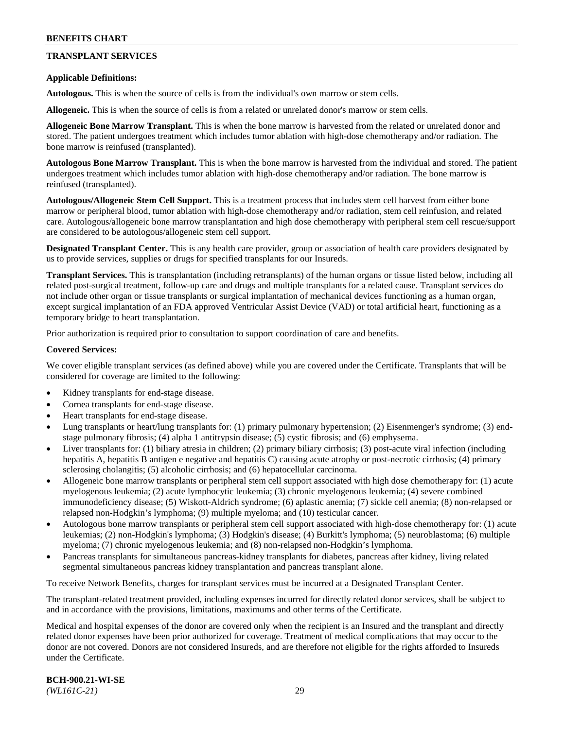# **TRANSPLANT SERVICES**

#### **Applicable Definitions:**

**Autologous.** This is when the source of cells is from the individual's own marrow or stem cells.

**Allogeneic.** This is when the source of cells is from a related or unrelated donor's marrow or stem cells.

**Allogeneic Bone Marrow Transplant.** This is when the bone marrow is harvested from the related or unrelated donor and stored. The patient undergoes treatment which includes tumor ablation with high-dose chemotherapy and/or radiation. The bone marrow is reinfused (transplanted).

**Autologous Bone Marrow Transplant.** This is when the bone marrow is harvested from the individual and stored. The patient undergoes treatment which includes tumor ablation with high-dose chemotherapy and/or radiation. The bone marrow is reinfused (transplanted).

**Autologous/Allogeneic Stem Cell Support.** This is a treatment process that includes stem cell harvest from either bone marrow or peripheral blood, tumor ablation with high-dose chemotherapy and/or radiation, stem cell reinfusion, and related care. Autologous/allogeneic bone marrow transplantation and high dose chemotherapy with peripheral stem cell rescue/support are considered to be autologous/allogeneic stem cell support.

**Designated Transplant Center.** This is any health care provider, group or association of health care providers designated by us to provide services, supplies or drugs for specified transplants for our Insureds.

**Transplant Services.** This is transplantation (including retransplants) of the human organs or tissue listed below, including all related post-surgical treatment, follow-up care and drugs and multiple transplants for a related cause. Transplant services do not include other organ or tissue transplants or surgical implantation of mechanical devices functioning as a human organ, except surgical implantation of an FDA approved Ventricular Assist Device (VAD) or total artificial heart, functioning as a temporary bridge to heart transplantation.

Prior authorization is required prior to consultation to support coordination of care and benefits.

#### **Covered Services:**

We cover eligible transplant services (as defined above) while you are covered under the Certificate. Transplants that will be considered for coverage are limited to the following:

- Kidney transplants for end-stage disease.
- Cornea transplants for end-stage disease.
- Heart transplants for end-stage disease.
- Lung transplants or heart/lung transplants for: (1) primary pulmonary hypertension; (2) Eisenmenger's syndrome; (3) endstage pulmonary fibrosis; (4) alpha 1 antitrypsin disease; (5) cystic fibrosis; and (6) emphysema.
- Liver transplants for: (1) biliary atresia in children; (2) primary biliary cirrhosis; (3) post-acute viral infection (including hepatitis A, hepatitis B antigen e negative and hepatitis C) causing acute atrophy or post-necrotic cirrhosis; (4) primary sclerosing cholangitis; (5) alcoholic cirrhosis; and (6) hepatocellular carcinoma.
- Allogeneic bone marrow transplants or peripheral stem cell support associated with high dose chemotherapy for: (1) acute myelogenous leukemia; (2) acute lymphocytic leukemia; (3) chronic myelogenous leukemia; (4) severe combined immunodeficiency disease; (5) Wiskott-Aldrich syndrome; (6) aplastic anemia; (7) sickle cell anemia; (8) non-relapsed or relapsed non-Hodgkin's lymphoma; (9) multiple myeloma; and (10) testicular cancer.
- Autologous bone marrow transplants or peripheral stem cell support associated with high-dose chemotherapy for: (1) acute leukemias; (2) non-Hodgkin's lymphoma; (3) Hodgkin's disease; (4) Burkitt's lymphoma; (5) neuroblastoma; (6) multiple myeloma; (7) chronic myelogenous leukemia; and (8) non-relapsed non-Hodgkin's lymphoma.
- Pancreas transplants for simultaneous pancreas-kidney transplants for diabetes, pancreas after kidney, living related segmental simultaneous pancreas kidney transplantation and pancreas transplant alone.

To receive Network Benefits, charges for transplant services must be incurred at a Designated Transplant Center.

The transplant-related treatment provided, including expenses incurred for directly related donor services, shall be subject to and in accordance with the provisions, limitations, maximums and other terms of the Certificate.

Medical and hospital expenses of the donor are covered only when the recipient is an Insured and the transplant and directly related donor expenses have been prior authorized for coverage. Treatment of medical complications that may occur to the donor are not covered. Donors are not considered Insureds, and are therefore not eligible for the rights afforded to Insureds under the Certificate.